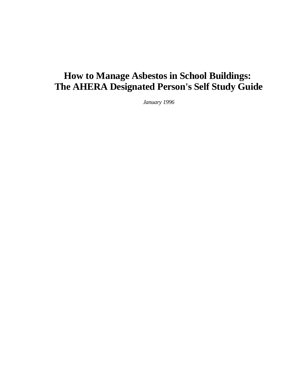# **How to Manage Asbestos in School Buildings: The AHERA Designated Person's Self Study Guide**

*January 1996*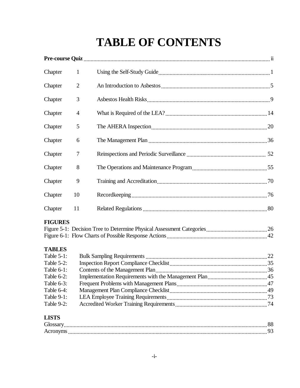# **TABLE OF CONTENTS**

| Chapter        | $\mathbf{1}$ |  |  |
|----------------|--------------|--|--|
| Chapter        | $\mathbf{2}$ |  |  |
| Chapter        | 3            |  |  |
| Chapter        | 4            |  |  |
| Chapter        | 5            |  |  |
| Chapter        | 6            |  |  |
| Chapter        | 7            |  |  |
| Chapter        | 8            |  |  |
| Chapter        | 9            |  |  |
| Chapter        | 10           |  |  |
| Chapter        | 11           |  |  |
| <b>FIGURES</b> |              |  |  |
|                |              |  |  |
| <b>TABLES</b>  |              |  |  |
| Table 5-1:     |              |  |  |
| Table 5-2:     |              |  |  |
| Table 6-1:     |              |  |  |
| Table 6-2:     |              |  |  |
| Table 6-3:     |              |  |  |
| Table 6-4:     |              |  |  |
| Table 9-1:     |              |  |  |
| Table 9-2:     |              |  |  |
| <b>LISTS</b>   |              |  |  |
|                |              |  |  |
|                |              |  |  |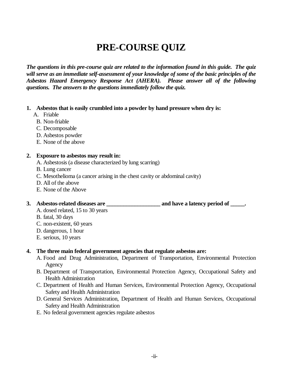# **PRE-COURSE QUIZ**

*The questions in this pre-course quiz are related to the information found in this guide. The quiz will serve as an immediate self-assessment of your knowledge of some of the basic principles of the Asbestos Hazard Emergency Response Act (AHERA). Please answer all of the following questions. The answers to the questions immediately follow the quiz.* 

#### **1. Asbestos that is easily crumbled into a powder by hand pressure when dry is:**

- A. Friable
- B. Non-friable
- C. Decomposable
- D. Asbestos powder
- E. None of the above

#### **2. Exposure to asbestos may result in:**

- A. Asbestosis (a disease characterized by lung scarring)
- B. Lung cancer
- C. Mesothelioma (a cancer arising in the chest cavity or abdominal cavity)
- D. All of the above
- E. None of the Above

#### **3. Asbestos-related diseases are \_\_\_\_\_\_\_\_\_\_\_\_\_\_\_\_\_\_\_ and have a latency period of \_\_\_\_\_.**

- A. dosed related, 15 to 30 years
- B. fatal, 30 days
- C. non-existent, 60 years
- D. dangerous, 1 hour
- E. serious, 10 years

#### **4. The three main federal government agencies that regulate asbestos are:**

- A. Food and Drug Administration, Department of Transportation, Environmental Protection Agency
- B. Department of Transportation, Environmental Protection Agency, Occupational Safety and Health Administration
- C. Department of Health and Human Services, Environmental Protection Agency, Occupational Safety and Health Administration
- D. General Services Administration, Department of Health and Human Services, Occupational Safety and Health Administration
- E. No federal government agencies regulate asbestos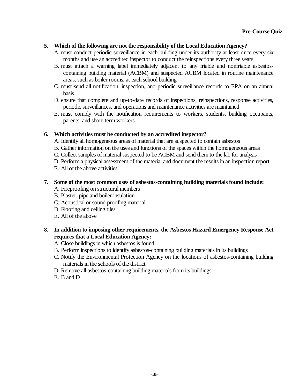#### **5. Which of the following are not the responsibility of the Local Education Agency?**

- A. must conduct periodic surveillance in each building under its authority at least once every six months and use an accredited inspector to conduct the reinspections every three years
- B. must attach a warning label immediately adjacent to any friable and nonfriable asbestoscontaining building material (ACBM) and suspected ACBM located in routine maintenance areas, such as boiler rooms, at each school building
- C. must send all notification, inspection, and periodic surveillance records to EPA on an annual basis
- D. ensure that complete and up-to-date records of inspections, reinspections, response activities, periodic surveillances, and operations and maintenance activities are maintained
- E. must comply with the notification requirements to workers, students, building occupants, parents, and short-term workers

#### **6. Which activities must be conducted by an accredited inspector?**

- A. Identify all homogeneous areas of material that are suspected to contain asbestos
- B. Gather information on the uses and functions of the spaces within the homogeneous areas
- C. Collect samples of material suspected to be ACBM and send them to the lab for analysis
- D. Perform a physical assessment of the material and document the results in an inspection report
- E. All of the above activities

#### **7. Some of the most common uses of asbestos-containing building materials found include:**

- A. Fireproofing on structural members
- B. Plaster, pipe and boiler insulation
- C. Acoustical or sound proofing material
- D. Flooring and ceiling tiles
- E. All of the above

#### **8. In addition to imposing other requirements, the Asbestos Hazard Emergency Response Act requires that a Local Education Agency:**

- A. Close buildings in which asbestos is found
- B. Perform inspections to identify asbestos-containing building materials in its buildings
- C. Notify the Environmental Protection Agency on the locations of asbestos-containing building materials in the schools of the district
- D. Remove all asbestos-containing building materials from its buildings
- E. B and D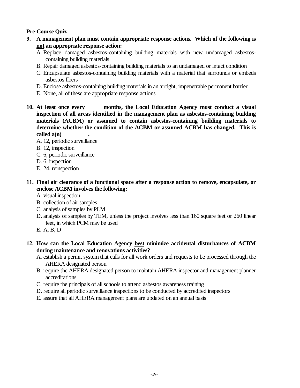#### **Pre-Course Quiz**

- **9. A management plan must contain appropriate response actions. Which of the following is not an appropriate response action:** 
	- A. Replace damaged asbestos-containing building materials with new undamaged asbestoscontaining building materials
	- B. Repair damaged asbestos-containing building materials to an undamaged or intact condition
	- C. Encapsulate asbestos-containing building materials with a material that surrounds or embeds asbestos fibers
	- D. Enclose asbestos-containing building materials in an airtight, impenetrable permanent barrier
	- E. None, all of these are appropriate response actions
- 10. At least once every \_\_\_\_\_\_ months, the Local Education Agency must conduct a visual  **called a(n) . inspection of all areas identified in the management plan as asbestos-containing building materials (ACBM) or assumed to contain asbestos-containing building materials to determine whether the condition of the ACBM or assumed ACBM has changed. This is** 
	- A. 12, periodic surveillance
	- B. 12, inspection
	- C. 6, periodic surveillance
	- D. 6, inspection
	- E. 24, reinspection

#### **11. Final air clearance of a functional space after a response action to remove, encapsulate, or enclose ACBM involves the following:**

- A. visual inspection
- B. collection of air samples
- C. analysis of samples by PLM
- D. analysis of samples by TEM, unless the project involves less than 160 square feet or 260 linear feet, in which PCM may be used
- E. A, B, D

#### **12. How can the Local Education Agency best minimize accidental disturbances of ACBM during maintenance and renovations activities?**

- A. establish a permit system that calls for all work orders and requests to be processed through the AHERA designated person
- B. require the AHERA designated person to maintain AHERA inspector and management planner accreditations
- C. require the principals of all schools to attend asbestos awareness training
- D. require all periodic surveillance inspections to be conducted by accredited inspectors
- E. assure that all AHERA management plans are updated on an annual basis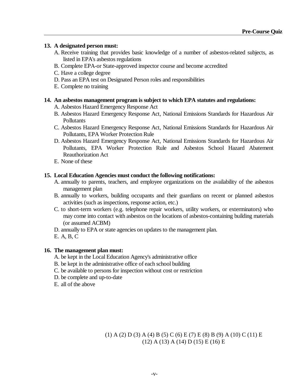#### **13. A designated person must:**

- A. Receive training that provides basic knowledge of a number of asbestos-related subjects, as listed in EPA's asbestos regulations
- B. Complete EPA-or State-approved inspector course and become accredited
- C. Have a college degree
- D. Pass an EPA test on Designated Person roles and responsibilities
- E. Complete no training

#### **14. An asbestos management program is subject to which EPA statutes and regulations:**

- A. Asbestos Hazard Emergency Response Act
- B. Asbestos Hazard Emergency Response Act, National Emissions Standards for Hazardous Air **Pollutants**
- C. Asbestos Hazard Emergency Response Act, National Emissions Standards for Hazardous Air Pollutants, EPA Worker Protection Rule
- D. Asbestos Hazard Emergency Response Act, National Emissions Standards for Hazardous Air Pollutants, EPA Worker Protection Rule and Asbestos School Hazard Abatement Reauthorization Act
- E. None of these

#### **15. Local Education Agencies must conduct the following notifications:**

- A. annually to parents, teachers, and employee organizations on the availability of the asbestos management plan
- B. annually to workers, building occupants and their guardians on recent or planned asbestos activities (such as inspections, response action, etc.)
- C. to short-term workers (e.g. telephone repair workers, utility workers, or exterminators) who may come into contact with asbestos on the locations of asbestos-containing building materials (or assumed ACBM)
- D. annually to EPA or state agencies on updates to the management plan.
- E. A, B, C

#### **16. The management plan must:**

- A. be kept in the Local Education Agency's administrative office
- B. be kept in the administrative office of each school building
- C. be available to persons for inspection without cost or restriction
- D. be complete and up-to-date
- E. all of the above

(1) A (2) D (3) A (4) B (5) C (6) E (7) E (8) B (9) A (10) C (11) E (12) A (13) A (14) D (15) E (16) E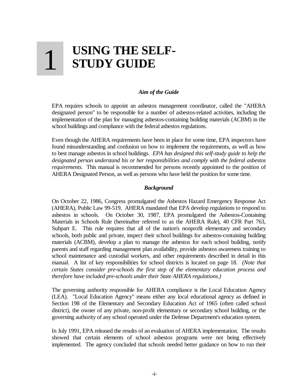# 1 **USING THE SELF-STUDY GUIDE**

#### *Aim of the Guide*

EPA requires schools to appoint an asbestos management coordinator, called the "AHERA designated person" to be responsible for a number of asbestos-related activities, including the implementation of the plan for managing asbestos-containing building materials (ACBM) in the school buildings and compliance with the federal asbestos regulations.

Even though the AHERA requirements have been in place for some time, EPA inspectors have found misunderstanding and confusion on how to implement the requirements, as well as how to best manage asbestos in school buildings. *EPA has designed this self-study guide to help the designated person understand his or her responsibilities and comply with the federal asbestos requirements.* This manual is recommended for persons recently appointed to the position of AHERA Designated Person, as well as persons who have held the position for some time.

#### *Background*

On October 22, 1986, Congress promulgated the Asbestos Hazard Emergency Response Act (AHERA), Public Law 99-519. AHERA mandated that EPA develop regulations to respond to asbestos in schools. On October 30, 1987, EPA promulgated the Asbestos-Containing Materials in Schools Rule (hereinafter referred to as the AHERA Rule), 40 CFR Part 763, Subpart E. This rule requires that all of the nation's nonprofit elementary and secondary schools, both public and private, inspect their school buildings for asbestos-containing building materials (ACBM), develop a plan to manage the asbestos for each school building, notify parents and staff regarding management plan availability, provide asbestos awareness training to school maintenance and custodial workers, and other requirements described in detail in this manual. A list of key responsibilities for school districts is located on page 18. *(Note that certain States consider pre-schools the first step of the elementary education process and therefore have included pre-schools under their State AHERA regulations.)* 

The governing authority responsible for AHERA compliance is the Local Education Agency (LEA). "Local Education Agency" means either any local educational agency as defined in Section 198 of the Elementary and Secondary Education Act of 1965 (often called school district), the owner of any private, non-profit elementary or secondary school building, or the governing authority of any school operated under the Defense Department's education system.

In July 1991, EPA released the results of an evaluation of AHERA implementation. The results showed that certain elements of school asbestos programs were not being effectively implemented. The agency concluded that schools needed better guidance on how to run their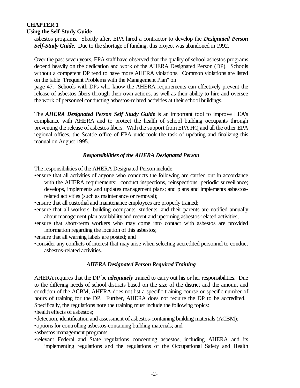#### **CHAPTER 1 Using the Self-Study Guide**

asbestos programs. Shortly after, EPA hired a contractor to develop the *Designated Person Self-Study Guide*. Due to the shortage of funding, this project was abandoned in 1992.

Over the past seven years, EPA staff have observed that the quality of school asbestos programs depend heavily on the dedication and work of the AHERA Designated Person (DP). Schools without a competent DP tend to have more AHERA violations. Common violations are listed on the table "Frequent Problems with the Management Plan" on

page 47. Schools with DPs who know the AHERA requirements can effectively prevent the release of asbestos fibers through their own actions, as well as their ability to hire and oversee the work of personnel conducting asbestos-related activities at their school buildings.

The *AHERA Designated Person Self Study Guide* is an important tool to improve LEA's compliance with AHERA and to protect the health of school building occupants through preventing the release of asbestos fibers. With the support from EPA HQ and all the other EPA regional offices, the Seattle office of EPA undertook the task of updating and finalizing this manual on August 1995.

#### *Responsibilities of the AHERA Designated Person*

The responsibilities of the AHERA Designated Person include:

•ensure that all activities of anyone who conducts the following are carried out in accordance with the AHERA requirements: conduct inspections, reinspections, periodic surveillance; develops, implements and updates management plans; and plans and implements asbestosrelated activities (such as maintenance or removal);

•ensure that all custodial and maintenance employees are properly trained;

- •ensure that all workers, building occupants, students, and their parents are notified annually about management plan availability and recent and upcoming asbestos-related activities;
- •ensure that short-term workers who may come into contact with asbestos are provided information regarding the location of this asbestos;

•ensure that all warning labels are posted; and

•consider any conflicts of interest that may arise when selecting accredited personnel to conduct asbestos-related activities.

#### *AHERA Designated Person Required Training*

AHERA requires that the DP be *adequately* trained to carry out his or her responsibilities. Due to the differing needs of school districts based on the size of the district and the amount and condition of the ACBM, AHERA does not list a specific training course or specific number of hours of training for the DP. Further, AHERA does not require the DP to be accredited. Specifically, the regulations note the training must include the following topics:

•health effects of asbestos;

•detection, identification and assessment of asbestos-containing building materials (ACBM);

- •options for controlling asbestos-containing building materials; and
- •asbestos management programs.
- •relevant Federal and State regulations concerning asbestos, including AHERA and its implementing regulations and the regulations of the Occupational Safety and Health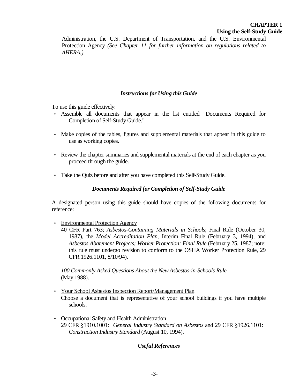Administration, the U.S. Department of Transportation, and the U.S. Environmental Protection Agency *(See Chapter 11 for further information on regulations related to AHERA.)* 

#### *Instructions for Using this Guide*

To use this guide effectively:

- Assemble all documents that appear in the list entitled "Documents Required for Completion of Self-Study Guide."
- Make copies of the tables, figures and supplemental materials that appear in this guide to use as working copies.
- Review the chapter summaries and supplemental materials at the end of each chapter as you proceed through the guide.
- Take the Quiz before and after you have completed this Self-Study Guide.

#### *Documents Required for Completion of Self-Study Guide*

A designated person using this guide should have copies of the following documents for reference:

- Environmental Protection Agency
	- 40 CFR Part 763; *Asbestos-Containing Materials in Schools*; Final Rule (October 30, 1987), the *Model Accreditation Plan*, Interim Final Rule (February 3, 1994), and *Asbestos Abatement Projects; Worker Protection; Final Rule* (February 25, 1987; note: this rule must undergo revision to conform to the OSHA Worker Protection Rule, 29 CFR 1926.1101, 8/10/94).

*100 Commonly Asked Questions About the New Asbestos-in-Schools Rule*  (May 1988).

- Your School Asbestos Inspection Report/Management Plan Choose a document that is representative of your school buildings if you have multiple schools.
- Occupational Safety and Health Administration 29 CFR §1910.1001: *General Industry Standard on Asbestos* and 29 CFR §1926.1101: *Construction Industry Standard* (August 10, 1994).

## *Useful References*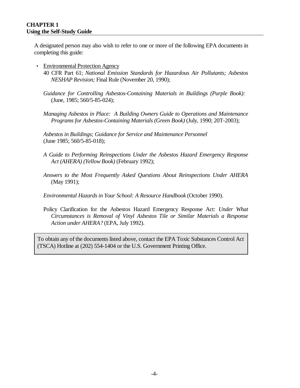A designated person may also wish to refer to one or more of the following EPA documents in completing this guide:

- Environmental Protection Agency
	- 40 CFR Part 61; *National Emission Standards for Hazardous Air Pollutants; Asbestos NESHAP Revision;* Final Rule (November 20, 1990);

*Guidance for Controlling Asbestos-Containing Materials in Buildings (Purple Book):*  (June, 1985; 560/5-85-024);

*Managing Asbestos in Place: A Building Owners Guide to Operations and Maintenance Programs for Asbestos-Containing Materials (Green Book)* (July, 1990; 20T-2003);

*Asbestos in Buildings; Guidance for Service and Maintenance Personnel*  (June 1985; 560/5-85-018);

- *A Guide to Performing Reinspections Under the Asbestos Hazard Emergency Response Act (AHERA) (Yellow Book)* (February 1992);
- *Answers to the Most Frequently Asked Questions About Reinspections Under AHERA*  (May 1991);

*Environmental Hazards in Your School: A Resource Handbook* (October 1990).

Policy Clarification for the Asbestos Hazard Emergency Response Act: *Under What Circumstances is Removal of Vinyl Asbestos Tile or Similar Materials a Response Action under AHERA?* (EPA, July 1992).

To obtain any of the documents listed above, contact the EPA Toxic Substances Control Act (TSCA) Hotline at (202) 554-1404 or the U.S. Government Printing Office.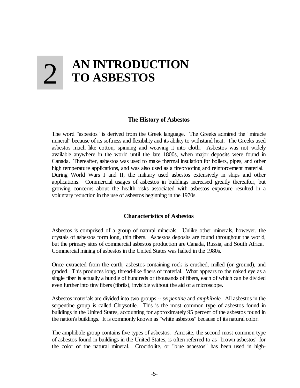# 2 AN INTRODUCTION  **TO ASBESTOS**

#### **The History of Asbestos**

The word "asbestos" is derived from the Greek language. The Greeks admired the "miracle mineral" because of its softness and flexibility and its ability to withstand heat. The Greeks used asbestos much like cotton, spinning and weaving it into cloth. Asbestos was not widely available anywhere in the world until the late 1800s, when major deposits were found in Canada. Thereafter, asbestos was used to make thermal insulation for boilers, pipes, and other high temperature applications, and was also used as a fireproofing and reinforcement material. During World Wars I and II, the military used asbestos extensively in ships and other applications. Commercial usages of asbestos in buildings increased greatly thereafter, but growing concerns about the health risks associated with asbestos exposure resulted in a voluntary reduction in the use of asbestos beginning in the 1970s.

#### **Characteristics of Asbestos**

Asbestos is comprised of a group of natural minerals. Unlike other minerals, however, the crystals of asbestos form long, thin fibers. Asbestos deposits are found throughout the world, but the primary sites of commercial asbestos production are Canada, Russia, and South Africa. Commercial mining of asbestos in the United States was halted in the 1980s.

Once extracted from the earth, asbestos-containing rock is crushed, milled (or ground), and graded. This produces long, thread-like fibers of material. What appears to the naked eye as a single fiber is actually a bundle of hundreds or thousands of fibers, each of which can be divided even further into tiny fibers (fibrils), invisible without the aid of a microscope.

Asbestos materials are divided into two groups -- *serpentine* and *amphibole.* All asbestos in the serpentine group is called Chrysotile. This is the most common type of asbestos found in buildings in the United States, accounting for approximately 95 percent of the asbestos found in the nation's buildings. It is commonly known as "white asbestos" because of its natural color.

The amphibole group contains five types of asbestos. Amosite, the second most common type of asbestos found in buildings in the United States, is often referred to as "brown asbestos" for the color of the natural mineral. Crocidolite, or "blue asbestos" has been used in high-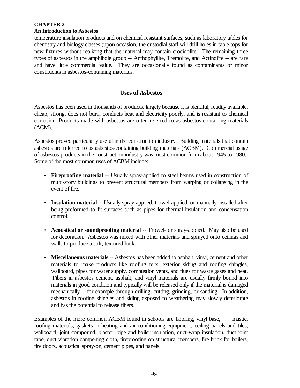#### **CHAPTER 2 An Introduction to Asbestos**

temperature insulation products and on chemical resistant surfaces, such as laboratory tables for chemistry and biology classes (upon occasion, the custodial staff will drill holes in table tops for new fixtures without realizing that the material may contain crocidolite. The remaining three types of asbestos in the amphibole group -- Anthophyllite, Tremolite, and Actinolite -- are rare and have little commercial value. They are occasionally found as contaminants or minor constituents in asbestos-containing materials.

### **Uses of Asbestos**

Asbestos has been used in thousands of products, largely because it is plentiful, readily available, cheap, strong, does not burn, conducts heat and electricity poorly, and is resistant to chemical corrosion. Products made with asbestos are often referred to as asbestos-containing materials (ACM).

Asbestos proved particularly useful in the construction industry. Building materials that contain asbestos are referred to as asbestos-containing building materials (ACBM). Commercial usage of asbestos products in the construction industry was most common from about 1945 to 1980. Some of the most common uses of ACBM include:

- Fireproofing material -- Usually spray-applied to steel beams used in construction of multi-story buildings to prevent structural members from warping or collapsing in the event of fire.
- **Insulation material** -- Usually spray-applied, trowel-applied, or manually installed after being preformed to fit surfaces such as pipes for thermal insulation and condensation control.
- **Acoustical or soundproofing material** -- Trowel- or spray-applied. May also be used for decoration. Asbestos was mixed with other materials and sprayed onto ceilings and walls to produce a soft, textured look.
- **Miscellaneous materials** -- Asbestos has been added to asphalt, vinyl, cement and other materials to make products like roofing felts, exterior siding and roofing shingles, wallboard, pipes for water supply, combustion vents, and flues for waste gases and heat. Fibers in asbestos cement, asphalt, and vinyl materials are usually firmly bound into materials in good condition and typically will be released only if the material is damaged mechanically -- for example through drilling, cutting, grinding, or sanding. In addition, asbestos in roofing shingles and siding exposed to weathering may slowly deteriorate and has the potential to release fibers.

Examples of the more common ACBM found in schools are flooring, vinyl base, mastic, roofing materials, gaskets in heating and air-conditioning equipment, ceiling panels and tiles, wallboard, joint compound, plaster, pipe and boiler insulation, duct-wrap insulation, duct joint tape, duct vibration dampening cloth, fireproofing on structural members, fire brick for boilers, fire doors, acoustical spray-on, cement pipes, and panels.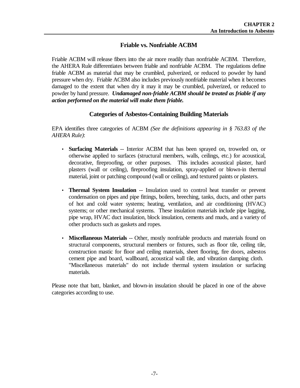# **Friable vs. Nonfriable ACBM**

Friable ACBM will release fibers into the air more readily than nonfriable ACBM. Therefore, the AHERA Rule differentiates between friable and nonfriable ACBM. The regulations define friable ACBM as material that may be crumbled, pulverized, or reduced to powder by hand pressure when dry. Friable ACBM also includes previously nonfriable material when it becomes damaged to the extent that when dry it may it may be crumbled, pulverized, or reduced to powder by hand pressure. *Undamaged non-friable ACBM should be treated as friable if any action performed on the material will make them friable.* 

#### **Categories of Asbestos-Containing Building Materials**

EPA identifies three categories of ACBM *(See the definitions appearing in § 763.83 of the AHERA Rule)*:

- **Surfacing Materials** -- Interior ACBM that has been sprayed on, troweled on, or otherwise applied to surfaces (structural members, walls, ceilings, etc.) for acoustical, decorative, fireproofing, or other purposes. This includes acoustical plaster, hard plasters (wall or ceiling), fireproofing insulation, spray-applied or blown-in thermal material, joint or patching compound (wall or ceiling), and textured paints or plasters.
- **Thermal System Insulation** -- Insulation used to control heat transfer or prevent condensation on pipes and pipe fittings, boilers, breeching, tanks, ducts, and other parts of hot and cold water systems; heating, ventilation, and air conditioning (HVAC) systems; or other mechanical systems. These insulation materials include pipe lagging, pipe wrap, HVAC duct insulation, block insulation, cements and muds, and a variety of other products such as gaskets and ropes.
- **Miscellaneous Materials** -- Other, mostly nonfriable products and materials found on structural components, structural members or fixtures, such as floor tile, ceiling tile, construction mastic for floor and ceiling materials, sheet flooring, fire doors, asbestos cement pipe and board, wallboard, acoustical wall tile, and vibration damping cloth. "Miscellaneous materials" do not include thermal system insulation or surfacing materials.

Please note that batt, blanket, and blown-in insulation should be placed in one of the above categories according to use.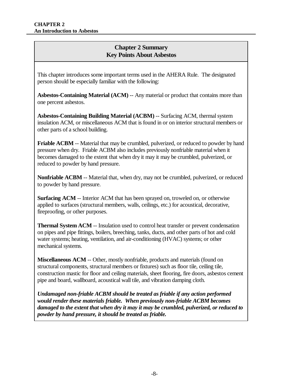## **Chapter 2 Summary Key Points About Asbestos**

This chapter introduces some important terms used in the AHERA Rule. The designated person should be especially familiar with the following:

**Asbestos-Containing Material (ACM)** -- Any material or product that contains more than one percent asbestos.

**Asbestos-Containing Building Material (ACBM)** -- Surfacing ACM, thermal system insulation ACM, or miscellaneous ACM that is found in or on interior structural members or other parts of a school building.

**Friable ACBM** -- Material that may be crumbled, pulverized, or reduced to powder by hand pressure when dry. Friable ACBM also includes previously nonfriable material when it becomes damaged to the extent that when dry it may it may be crumbled, pulverized, or reduced to powder by hand pressure.

**Nonfriable ACBM** -- Material that, when dry, may not be crumbled, pulverized, or reduced to powder by hand pressure.

**Surfacing ACM** -- Interior ACM that has been sprayed on, troweled on, or otherwise applied to surfaces (structural members, walls, ceilings, etc.) for acoustical, decorative, fireproofing, or other purposes.

**Thermal System ACM** -- Insulation used to control heat transfer or prevent condensation on pipes and pipe fittings, boilers, breeching, tanks, ducts, and other parts of hot and cold water systems; heating, ventilation, and air-conditioning (HVAC) systems; or other mechanical systems.

**Miscellaneous ACM** -- Other, mostly nonfriable, products and materials (found on structural components, structural members or fixtures) such as floor tile, ceiling tile, construction mastic for floor and ceiling materials, sheet flooring, fire doors, asbestos cement pipe and board, wallboard, acoustical wall tile, and vibration damping cloth.

*Undamaged non-friable ACBM should be treated as friable if any action performed would render these materials friable. When previously non-friable ACBM becomes damaged to the extent that when dry it may it may be crumbled, pulverized, or reduced to powder by hand pressure, it should be treated as friable.*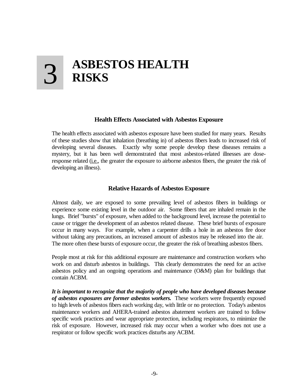# 3 **ASBESTOS HEALTH RISKS**

#### **Health Effects Associated with Asbestos Exposure**

The health effects associated with asbestos exposure have been studied for many years. Results of these studies show that inhalation (breathing in) of asbestos fibers leads to increased risk of developing several diseases. Exactly why some people develop these diseases remains a mystery, but it has been well demonstrated that most asbestos-related illnesses are doseresponse related (*i.e.*, the greater the exposure to airborne asbestos fibers, the greater the risk of developing an illness).

#### **Relative Hazards of Asbestos Exposure**

Almost daily, we are exposed to some prevailing level of asbestos fibers in buildings or experience some existing level in the outdoor air. Some fibers that are inhaled remain in the lungs. Brief "bursts" of exposure, when added to the background level, increase the potential to cause or trigger the development of an asbestos related disease. These brief bursts of exposure occur in many ways. For example, when a carpenter drills a hole in an asbestos fire door without taking any precautions, an increased amount of asbestos may be released into the air. The more often these bursts of exposure occur, the greater the risk of breathing asbestos fibers.

People most at risk for this additional exposure are maintenance and construction workers who work on and disturb asbestos in buildings. This clearly demonstrates the need for an active asbestos policy and an ongoing operations and maintenance (O&M) plan for buildings that contain ACBM.

*It is important to recognize that the majority of people who have developed diseases because of asbestos exposures are former asbestos workers.* These workers were frequently exposed to high levels of asbestos fibers each working day, with little or no protection. Today's asbestos maintenance workers and AHERA-trained asbestos abatement workers are trained to follow specific work practices and wear appropriate protection, including respirators, to minimize the risk of exposure. However, increased risk may occur when a worker who does not use a respirator or follow specific work practices disturbs any ACBM.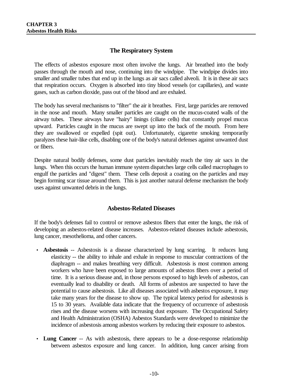# **The Respiratory System**

The effects of asbestos exposure most often involve the lungs. Air breathed into the body passes through the mouth and nose, continuing into the windpipe. The windpipe divides into smaller and smaller tubes that end up in the lungs as air sacs called alveoli. It is in these air sacs that respiration occurs. Oxygen is absorbed into tiny blood vessels (or capillaries), and waste gases, such as carbon dioxide, pass out of the blood and are exhaled.

The body has several mechanisms to "filter" the air it breathes. First, large particles are removed in the nose and mouth. Many smaller particles are caught on the mucus-coated walls of the airway tubes. These airways have "hairy" linings (ciliate cells) that constantly propel mucus upward. Particles caught in the mucus are swept up into the back of the mouth. From here they are swallowed or expelled (spit out). Unfortunately, cigarette smoking temporarily paralyzes these hair-like cells, disabling one of the body's natural defenses against unwanted dust or fibers.

Despite natural bodily defenses, some dust particles inevitably reach the tiny air sacs in the lungs. When this occurs the human immune system dispatches large cells called macrophages to engulf the particles and "digest" them. These cells deposit a coating on the particles and may begin forming scar tissue around them. This is just another natural defense mechanism the body uses against unwanted debris in the lungs.

#### **Asbestos-Related Diseases**

If the body's defenses fail to control or remove asbestos fibers that enter the lungs, the risk of developing an asbestos-related disease increases. Asbestos-related diseases include asbestosis, lung cancer, mesothelioma, and other cancers.

- **Asbestosis** -- Asbestosis is a disease characterized by lung scarring. It reduces lung elasticity -- the ability to inhale and exhale in response to muscular contractions of the diaphragm -- and makes breathing very difficult. Asbestosis is most common among workers who have been exposed to large amounts of asbestos fibers over a period of time. It is a serious disease and, in those persons exposed to high levels of asbestos, can eventually lead to disability or death. All forms of asbestos are suspected to have the potential to cause asbestosis. Like all diseases associated with asbestos exposure, it may take many years for the disease to show up. The typical latency period for asbestosis is 15 to 30 years. Available data indicate that the frequency of occurrence of asbestosis rises and the disease worsens with increasing dust exposure. The Occupational Safety and Health Administration (OSHA) Asbestos Standards were developed to minimize the incidence of asbestosis among asbestos workers by reducing their exposure to asbestos.
- **Lung Cancer** -- As with asbestosis, there appears to be a dose-response relationship between asbestos exposure and lung cancer. In addition, lung cancer arising from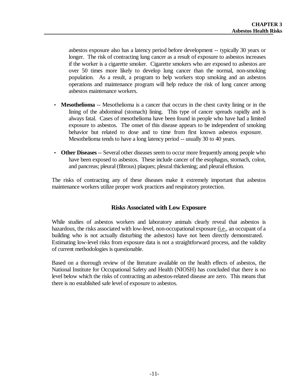asbestos exposure also has a latency period before development -- typically 30 years or longer. The risk of contracting lung cancer as a result of exposure to asbestos increases if the worker is a cigarette smoker. Cigarette smokers who are exposed to asbestos are over 50 times more likely to develop lung cancer than the normal, non-smoking population. As a result, a program to help workers stop smoking and an asbestos operations and maintenance program will help reduce the risk of lung cancer among asbestos maintenance workers.

- **Mesothelioma** -- Mesothelioma is a cancer that occurs in the chest cavity lining or in the lining of the abdominal (stomach) lining. This type of cancer spreads rapidly and is always fatal. Cases of mesothelioma have been found in people who have had a limited exposure to asbestos. The onset of this disease appears to be independent of smoking behavior but related to dose and to time from first known asbestos exposure. Mesothelioma tends to have a long latency period -- usually 30 to 40 years.
- **Other Diseases** -- Several other diseases seem to occur more frequently among people who have been exposed to asbestos. These include cancer of the esophagus, stomach, colon, and pancreas; pleural (fibrous) plaques; pleural thickening; and pleural effusion.

The risks of contracting any of these diseases make it extremely important that asbestos maintenance workers utilize proper work practices and respiratory protection.

#### **Risks Associated with Low Exposure**

While studies of asbestos workers and laboratory animals clearly reveal that asbestos is hazardous, the risks associated with low-level, non-occupational exposure (i.e., an occupant of a building who is not actually disturbing the asbestos) have not been directly demonstrated. Estimating low-level risks from exposure data is not a straightforward process, and the validity of current methodologies is questionable.

Based on a thorough review of the literature available on the health effects of asbestos, the National Institute for Occupational Safety and Health (NIOSH) has concluded that there is no level below which the risks of contracting an asbestos-related disease are zero. This means that there is no established safe level of exposure to asbestos.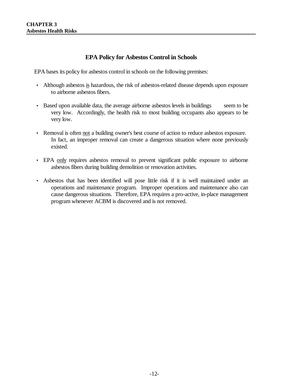# **EPA Policy for Asbestos Control in Schools**

EPA bases its policy for asbestos control in schools on the following premises:

- Although asbestos is hazardous, the risk of asbestos-related disease depends upon exposure to airborne asbestos fibers.
- Based upon available data, the average airborne asbestos levels in buildings seem to be very low. Accordingly, the health risk to most building occupants also appears to be very low.
- Removal is often <u>not</u> a building owner's best course of action to reduce asbestos exposure. In fact, an improper removal can create a dangerous situation where none previously existed.
- EPA only requires asbestos removal to prevent significant public exposure to airborne asbestos fibers during building demolition or renovation activities.
- Asbestos that has been identified will pose little risk if it is well maintained under an operations and maintenance program. Improper operations and maintenance also can cause dangerous situations. Therefore, EPA requires a pro-active, in-place management program whenever ACBM is discovered and is not removed.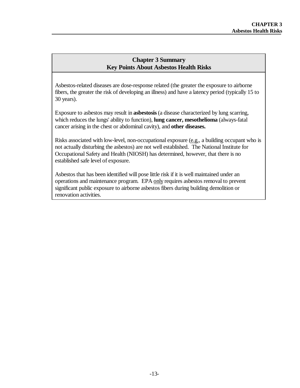## **Chapter 3 Summary Key Points About Asbestos Health Risks**

Asbestos-related diseases are dose-response related (the greater the exposure to airborne fibers, the greater the risk of developing an illness) and have a latency period (typically 15 to 30 years).

Exposure to asbestos may result in **asbestosis** (a disease characterized by lung scarring, which reduces the lungs' ability to function), **lung cancer, mesothelioma** (always-fatal cancer arising in the chest or abdominal cavity), and **other diseases.** 

Risks associated with low-level, non-occupational exposure (e.g., a building occupant who is not actually disturbing the asbestos) are not well established. The National Institute for Occupational Safety and Health (NIOSH) has determined, however, that there is no established safe level of exposure.

Asbestos that has been identified will pose little risk if it is well maintained under an operations and maintenance program. EPA only requires asbestos removal to prevent significant public exposure to airborne asbestos fibers during building demolition or renovation activities.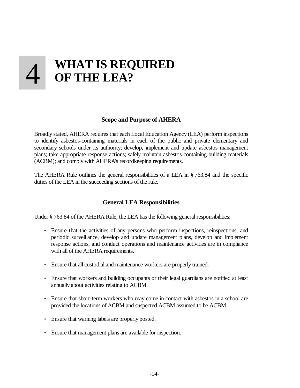# 4 **WHAT IS REQUIRED OF THE LEA?**

#### **Scope and Purpose of AHERA**

Broadly stated, AHERA requires that each Local Education Agency (LEA) perform inspections to identify asbestos-containing materials in each of the public and private elementary and secondary schools under its authority; develop, implement and update asbestos management plans; take appropriate response actions; safely maintain asbestos-containing building materials (ACBM); and comply with AHERA's recordkeeping requirements.

The AHERA Rule outlines the general responsibilities of a LEA in § 763.84 and the specific duties of the LEA in the succeeding sections of the rule.

#### **General LEA Responsibilities**

Under § 763.84 of the AHERA Rule, the LEA has the following general responsibilities:

- Ensure that the activities of any persons who perform inspections, reinspections, and periodic surveillance, develop and update management plans, develop and implement response actions, and conduct operations and maintenance activities are in compliance with all of the AHERA requirements.
- Ensure that all custodial and maintenance workers are properly trained.
- Ensure that workers and building occupants or their legal guardians are notified at least annually about activities relating to ACBM.
- Ensure that short-term workers who may come in contact with asbestos in a school are provided the locations of ACBM and suspected ACBM assumed to be ACBM.
- Ensure that warning labels are properly posted.
- Ensure that management plans are available for inspection.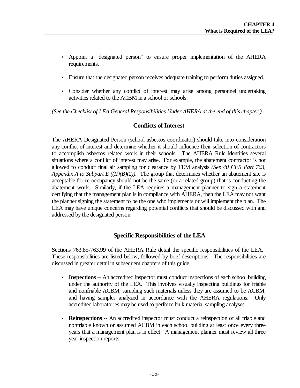- Appoint a "designated person" to ensure proper implementation of the AHERA requirements.
- Ensure that the designated person receives adequate training to perform duties assigned.
- Consider whether any conflict of interest may arise among personnel undertaking activities related to the ACBM in a school or schools.

*(See the Checklist of LEA General Responsibilities Under AHERA at the end of this chapter.)* 

#### **Conflicts of Interest**

The AHERA Designated Person (school asbestos coordinator) should take into consideration any conflict of interest and determine whether it should influence their selection of contractors to accomplish asbestos related work in their schools. The AHERA Rule identifies several situations where a conflict of interest may arise. For example, the abatement contractor is not allowed to conduct final air sampling for clearance by TEM analysis *(See 40 CFR Part 763, Appendix A to Subpart E ((II)(B)(2))*. The group that determines whether an abatement site is acceptable for re-occupancy should not be the same (or a related group) that is conducting the abatement work. Similarly, if the LEA requires a management planner to sign a statement certifying that the management plan is in compliance with AHERA, then the LEA may not want the planner signing the statement to be the one who implements or will implement the plan. The LEA may have unique concerns regarding potential conflicts that should be discussed with and addressed by the designated person.

#### **Specific Responsibilities of the LEA**

Sections 763.85-763.99 of the AHERA Rule detail the specific responsibilities of the LEA. These responsibilities are listed below, followed by brief descriptions. The responsibilities are discussed in greater detail in subsequent chapters of this guide.

- **Inspections** -- An accredited inspector must conduct inspections of each school building under the authority of the LEA. This involves visually inspecting buildings for friable and nonfriable ACBM, sampling such materials unless they are assumed to be ACBM, and having samples analyzed in accordance with the AHERA regulations. Only accredited laboratories may be used to perform bulk material sampling analyses.
- **Reinspections** -- An accredited inspector must conduct a reinspection of all friable and nonfriable known or assumed ACBM in each school building at least once every three years that a management plan is in effect. A management planner must review all three year inspection reports.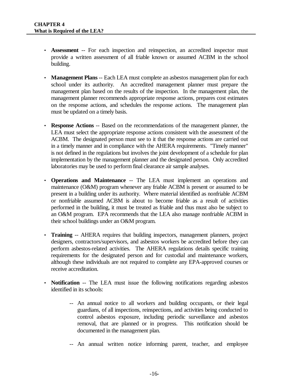- **Assessment** -- For each inspection and reinspection, an accredited inspector must provide a written assessment of all friable known or assumed ACBM in the school building.
- **Management Plans** -- Each LEA must complete an asbestos management plan for each school under its authority. An accredited management planner must prepare the management plan based on the results of the inspection. In the management plan, the management planner recommends appropriate response actions, prepares cost estimates on the response actions, and schedules the response actions. The management plan must be updated on a timely basis.
- **Response Actions** -- Based on the recommendations of the management planner, the LEA must select the appropriate response actions consistent with the assessment of the ACBM. The designated person must see to it that the response actions are carried out in a timely manner and in compliance with the AHERA requirements. "Timely manner" is not defined in the regulations but involves the joint development of a schedule for plan implementation by the management planner and the designated person. Only accredited laboratories may be used to perform final clearance air sample analyses.
- **Operations and Maintenance** -- The LEA must implement an operations and maintenance (O&M) program whenever any friable ACBM is present or assumed to be present in a building under its authority. Where material identified as nonfriable ACBM or nonfriable assumed ACBM is about to become friable as a result of activities performed in the building, it must be treated as friable and thus must also be subject to an O&M program. EPA recommends that the LEA also manage nonfriable ACBM in their school buildings under an O&M program.
- **Training** -- AHERA requires that building inspectors, management planners, project designers, contractors/supervisors, and asbestos workers be accredited before they can perform asbestos-related activities. The AHERA regulations details specific training requirements for the designated person and for custodial and maintenance workers, although these individuals are not required to complete any EPA-approved courses or receive accreditation.
- **Notification** -- The LEA must issue the following notifications regarding asbestos identified in its schools:
	- -- An annual notice to all workers and building occupants, or their legal guardians, of all inspections, reinspections, and activities being conducted to control asbestos exposure, including periodic surveillance and asbestos removal, that are planned or in progress. This notification should be documented in the management plan.
	- -- An annual written notice informing parent, teacher, and employee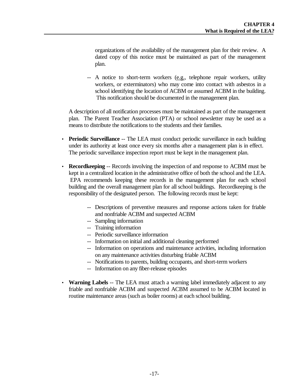organizations of the availability of the management plan for their review. A dated copy of this notice must be maintained as part of the management plan.

-- A notice to short-term workers (e.g., telephone repair workers, utility workers, or exterminators) who may come into contact with asbestos in a school identifying the location of ACBM or assumed ACBM in the building. This notification should be documented in the management plan.

A description of all notification processes must be maintained as part of the management plan. The Parent Teacher Association (PTA) or school newsletter may be used as a means to distribute the notifications to the students and their families.

- **Periodic Surveillance** -- The LEA must conduct periodic surveillance in each building under its authority at least once every six months after a management plan is in effect. The periodic surveillance inspection report must be kept in the management plan.
- **Recordkeeping** -- Records involving the inspection of and response to ACBM must be kept in a centralized location in the administrative office of both the school and the LEA. EPA recommends keeping these records in the management plan for each school building and the overall management plan for all school buildings. Recordkeeping is the responsibility of the designated person. The following records must be kept:
	- -- Descriptions of preventive measures and response actions taken for friable and nonfriable ACBM and suspected ACBM
	- -- Sampling information
	- -- Training information
	- -- Periodic surveillance information
	- -- Information on initial and additional cleaning performed
	- -- Information on operations and maintenance activities, including information on any maintenance activities disturbing friable ACBM
	- -- Notifications to parents, building occupants, and short-term workers
	- -- Information on any fiber-release episodes
- **Warning Labels** -- The LEA must attach a warning label immediately adjacent to any friable and nonfriable ACBM and suspected ACBM assumed to be ACBM located in routine maintenance areas (such as boiler rooms) at each school building.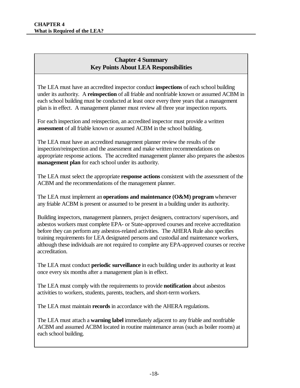# **Chapter 4 Summary Key Points About LEA Responsibilities**

The LEA must have an accredited inspector conduct **inspections** of each school building under its authority. A **reinspection** of all friable and nonfriable known or assumed ACBM in each school building must be conducted at least once every three years that a management plan is in effect. A management planner must review all three year inspection reports.

For each inspection and reinspection, an accredited inspector must provide a written **assessment** of all friable known or assumed ACBM in the school building.

The LEA must have an accredited management planner review the results of the inspection/reinspection and the assessment and make written recommendations on appropriate response actions. The accredited management planner also prepares the asbestos **management plan** for each school under its authority.

The LEA must select the appropriate **response actions** consistent with the assessment of the ACBM and the recommendations of the management planner.

The LEA must implement an **operations and maintenance (O&M) program** whenever any friable ACBM is present or assumed to be present in a building under its authority.

Building inspectors, management planners, project designers, contractors/ supervisors, and asbestos workers must complete EPA- or State-approved courses and receive accreditation before they can perform any asbestos-related activities. The AHERA Rule also specifies training requirements for LEA designated persons and custodial and maintenance workers, although these individuals are not required to complete any EPA-approved courses or receive accreditation.

The LEA must conduct **periodic surveillance** in each building under its authority at least once every six months after a management plan is in effect.

The LEA must comply with the requirements to provide **notification** about asbestos activities to workers, students, parents, teachers, and short-term workers.

The LEA must maintain **records** in accordance with the AHERA regulations.

The LEA must attach a **warning label** immediately adjacent to any friable and nonfriable ACBM and assumed ACBM located in routine maintenance areas (such as boiler rooms) at each school building.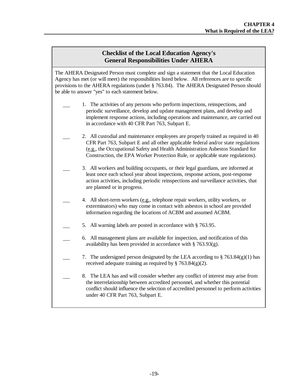### **Checklist of the Local Education Agency's General Responsibilities Under AHERA**

The AHERA Designated Person must complete and sign a statement that the Local Education Agency has met (or will meet) the responsibilities listed below. All references are to specific provisions to the AHERA regulations (under § 763.84). The AHERA Designated Person should be able to answer "yes" to each statement below.

- $\overline{a}$ 1. The activities of any persons who perform inspections, reinspections, and periodic surveillance, develop and update management plans, and develop and implement response actions, including operations and maintenance, are carried out in accordance with 40 CFR Part 763, Subpart E.
- $\overline{a}$ 2. All custodial and maintenance employees are properly trained as required in 40 CFR Part 763, Subpart E and all other applicable federal and/or state regulations (e.g., the Occupational Safety and Health Administration Asbestos Standard for Construction, the EPA Worker Protection Rule, or applicable state regulations).
	- 3. All workers and building occupants, or their legal guardians, are informed at least once each school year about inspections, response actions, post-response action activities, including periodic reinspections and surveillance activities, that are planned or in progress.
		- 4. All short-term workers (e.g., telephone repair workers, utility workers, or exterminators) who may come in contact with asbestos in school are provided information regarding the locations of ACBM and assumed ACBM.
		- 5. All warning labels are posted in accordance with § 763.95.

 $\overline{a}$ 

 $\overline{a}$ 

 $\overline{a}$ 

 $\overline{a}$ 

 $\overline{a}$ 

 $\overline{a}$ 

- 6. All management plans are available for inspection, and notification of this availability has been provided in accordance with § 763.93(g).
	- 7. The undersigned person designated by the LEA according to  $\S$  763.84(g)(1) has received adequate training as required by  $\S 763.84(g)(2)$ .
- 8. The LEA has and will consider whether any conflict of interest may arise from the interrelationship between accredited personnel, and whether this potential conflict should influence the selection of accredited personnel to perform activities under 40 CFR Part 763, Subpart E.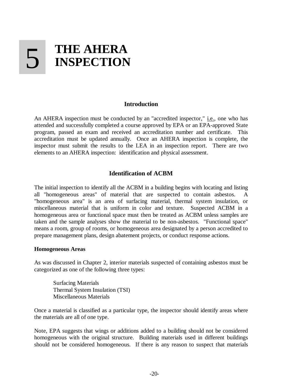# 5 **THE AHERA INSPECTION**

#### **Introduction**

An AHERA inspection must be conducted by an "accredited inspector," *i.e.*, one who has attended and successfully completed a course approved by EPA or an EPA-approved State program, passed an exam and received an accreditation number and certificate. This accreditation must be updated annually. Once an AHERA inspection is complete, the inspector must submit the results to the LEA in an inspection report. There are two elements to an AHERA inspection: identification and physical assessment.

#### **Identification of ACBM**

The initial inspection to identify all the ACBM in a building begins with locating and listing all "homogeneous areas" of material that are suspected to contain asbestos. A "homogeneous area" is an area of surfacing material, thermal system insulation, or miscellaneous material that is uniform in color and texture. Suspected ACBM in a homogeneous area or functional space must then be treated as ACBM unless samples are taken and the sample analyses show the material to be non-asbestos. "Functional space" means a room, group of rooms, or homogeneous area designated by a person accredited to prepare management plans, design abatement projects, or conduct response actions.

#### **Homogeneous Areas**

As was discussed in Chapter 2, interior materials suspected of containing asbestos must be categorized as one of the following three types:

Surfacing Materials Thermal System Insulation (TSI) Miscellaneous Materials

Once a material is classified as a particular type, the inspector should identify areas where the materials are all of one type.

Note, EPA suggests that wings or additions added to a building should not be considered homogeneous with the original structure. Building materials used in different buildings should not be considered homogeneous. If there is any reason to suspect that materials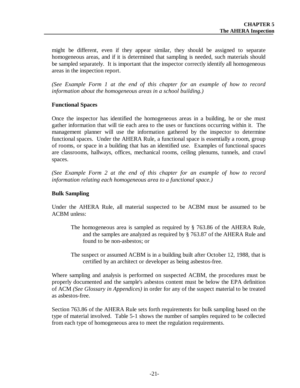might be different, even if they appear similar, they should be assigned to separate homogeneous areas, and if it is determined that sampling is needed, such materials should be sampled separately. It is important that the inspector correctly identify all homogeneous areas in the inspection report.

*(See Example Form 1 at the end of this chapter for an example of how to record information about the homogeneous areas in a school building.)* 

#### **Functional Spaces**

Once the inspector has identified the homogeneous areas in a building, he or she must gather information that will tie each area to the uses or functions occurring within it. The management planner will use the information gathered by the inspector to determine functional spaces. Under the AHERA Rule, a functional space is essentially a room, group of rooms, or space in a building that has an identified use. Examples of functional spaces are classrooms, hallways, offices, mechanical rooms, ceiling plenums, tunnels, and crawl spaces.

*(See Example Form 2 at the end of this chapter for an example of how to record information relating each homogeneous area to a functional space.)* 

#### **Bulk Sampling**

Under the AHERA Rule, all material suspected to be ACBM must be assumed to be ACBM unless:

- The homogeneous area is sampled as required by § 763.86 of the AHERA Rule, and the samples are analyzed as required by § 763.87 of the AHERA Rule and found to be non-asbestos; or
- The suspect or assumed ACBM is in a building built after October 12, 1988, that is certified by an architect or developer as being asbestos-free.

Where sampling and analysis is performed on suspected ACBM, the procedures must be properly documented and the sample's asbestos content must be below the EPA definition of ACM *(See Glossary in Appendices)* in order for any of the suspect material to be treated as asbestos-free.

Section 763.86 of the AHERA Rule sets forth requirements for bulk sampling based on the type of material involved. Table 5-1 shows the number of samples required to be collected from each type of homogeneous area to meet the regulation requirements.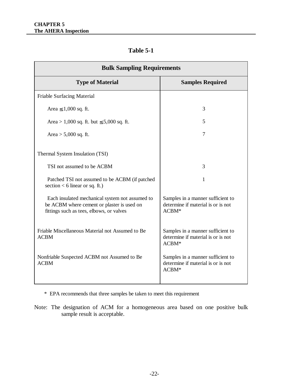# **Table 5-1**

| <b>Bulk Sampling Requirements</b>                                                                                                         |                                                                                    |  |  |  |
|-------------------------------------------------------------------------------------------------------------------------------------------|------------------------------------------------------------------------------------|--|--|--|
| <b>Type of Material</b>                                                                                                                   | <b>Samples Required</b>                                                            |  |  |  |
| <b>Friable Surfacing Material</b>                                                                                                         |                                                                                    |  |  |  |
| Area $\leq 1,000$ sq. ft.                                                                                                                 | 3                                                                                  |  |  |  |
| Area > 1,000 sq. ft. but $\leq 5,000$ sq. ft.                                                                                             | 5                                                                                  |  |  |  |
| Area $> 5,000$ sq. ft.                                                                                                                    | 7                                                                                  |  |  |  |
| Thermal System Insulation (TSI)                                                                                                           |                                                                                    |  |  |  |
| TSI not assumed to be ACBM                                                                                                                | 3                                                                                  |  |  |  |
| Patched TSI not assumed to be ACBM (if patched<br>section $<$ 6 linear or sq. ft.)                                                        | 1                                                                                  |  |  |  |
| Each insulated mechanical system not assumed to<br>be ACBM where cement or plaster is used on<br>fittings such as tees, elbows, or valves | Samples in a manner sufficient to<br>determine if material is or is not<br>$ACBM*$ |  |  |  |
| Friable Miscellaneous Material not Assumed to Be<br><b>ACBM</b>                                                                           | Samples in a manner sufficient to<br>determine if material is or is not<br>ACBM*   |  |  |  |
| Nonfriable Suspected ACBM not Assumed to Be<br><b>ACBM</b>                                                                                | Samples in a manner sufficient to<br>determine if material is or is not<br>$ACBM*$ |  |  |  |

\* EPA recommends that three samples be taken to meet this requirement

Note: The designation of ACM for a homogeneous area based on one positive bulk sample result is acceptable.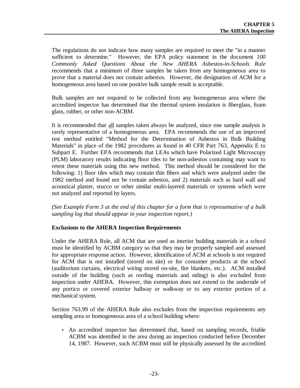The regulations do not indicate how many samples are required to meet the "in a manner sufficient to determine." However, the EPA policy statement in the document *100 Commonly Asked Questions About the New AHERA Asbestos-in-Schools Rule*  recommends that a minimum of three samples be taken from any homogeneous area to prove that a material does not contain asbestos. However, the designation of ACM for a homogeneous area based on one positive bulk sample result is acceptable.

Bulk samples are not required to be collected from any homogeneous area where the accredited inspector has determined that the thermal system insulation is fiberglass, foam glass, rubber, or other non-ACBM.

It is recommended that all samples taken always be analyzed, since one sample analysis is rarely representative of a homogeneous area. EPA recommends the use of an improved test method entitled "Method for the Determination of Asbestos in Bulk Building Materials" in place of the 1982 procedures as found in 40 CFR Part 763, Appendix E to Subpart E. Further EPA recommends that LEAs which have Polarized Light Microscopy (PLM) laboratory results indicating floor tiles to be non-asbestos containing may want to retest these materials using this new method. This method should be considered for the following: 1) floor tiles which may contain thin fibers and which were analyzed under the 1982 method and found not be contain asbestos, and 2) materials such as hard wall and acoustical plaster, stucco or other similar multi-layered materials or systems which were not analyzed and reported by layers.

*(See Example Form 3 at the end of this chapter for a form that is representative of a bulk sampling log that should appear in your inspection report.)* 

#### **Exclusions to the AHERA Inspection Requirements**

Under the AHERA Rule, all ACM that are used as interior building materials in a school must be identified by ACBM category so that they may be properly sampled and assessed for appropriate response action. However, identification of ACM at schools is not required for ACM that is not installed (stored on site) or for consumer products at the school (auditorium curtains, electrical wiring stored on-site, fire blankets, etc.). ACM installed outside of the building (such as roofing materials and siding) is also excluded from inspection under AHERA. However, this exemption does not extend to the underside of any portico or covered exterior hallway or walkway or to any exterior portion of a mechanical system.

Section 763.99 of the AHERA Rule also excludes from the inspection requirements any sampling area or homogeneous area of a school building where:

• An accredited inspector has determined that, based on sampling records, friable ACBM was identified in the area during an inspection conducted before December 14, 1987. However, such ACBM must still be physically assessed by the accredited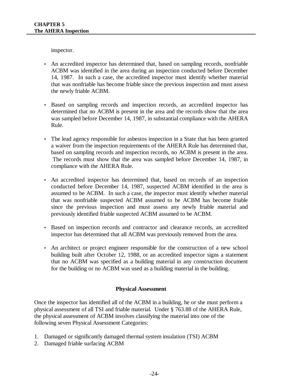inspector.

- An accredited inspector has determined that, based on sampling records, nonfriable ACBM was identified in the area during an inspection conducted before December 14, 1987. In such a case, the accredited inspector must identify whether material that was nonfriable has become friable since the previous inspection and must assess the newly friable ACBM.
- Based on sampling records and inspection records, an accredited inspector has determined that no ACBM is present in the area and the records show that the area was sampled before December 14, 1987, in substantial compliance with the AHERA Rule.
- The lead agency responsible for asbestos inspection in a State that has been granted a waiver from the inspection requirements of the AHERA Rule has determined that, based on sampling records and inspection records, no ACBM is present in the area. The records must show that the area was sampled before December 14, 1987, in compliance with the AHERA Rule.
- An accredited inspector has determined that, based on records of an inspection conducted before December 14, 1987, suspected ACBM identified in the area is assumed to be ACBM. In such a case, the inspector must identify whether material that was nonfriable suspected ACBM assumed to be ACBM has become friable since the previous inspection and must assess any newly friable material and previously identified friable suspected ACBM assumed to be ACBM.
- Based on inspection records and contractor and clearance records, an accredited inspector has determined that all ACBM was previously removed from the area.
- An architect or project engineer responsible for the construction of a new school building built after October 12, 1988, or an accredited inspector signs a statement that no ACBM was specified as a building material in any construction document for the building or no ACBM was used as a building material in the building.

#### **Physical Assessment**

Once the inspector has identified all of the ACBM in a building, he or she must perform a physical assessment of all TSI and friable material. Under § 763.88 of the AHERA Rule, the physical assessment of ACBM involves classifying the material into one of the following seven Physical Assessment Categories:

- 1. Damaged or significantly damaged thermal system insulation (TSI) ACBM
- 2. Damaged friable surfacing ACBM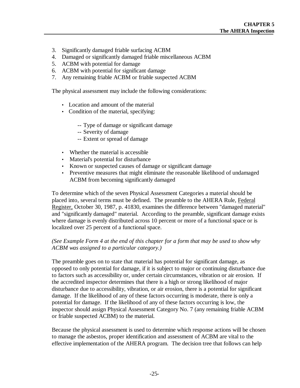- 3. Significantly damaged friable surfacing ACBM
- 4. Damaged or significantly damaged friable miscellaneous ACBM
- 5. ACBM with potential for damage
- 6. ACBM with potential for significant damage
- 7. Any remaining friable ACBM or friable suspected ACBM

The physical assessment may include the following considerations:

- Location and amount of the material
- Condition of the material, specifying:

-- Type of damage or significant damage

- -- Severity of damage
- -- Extent or spread of damage
- Whether the material is accessible
- Material's potential for disturbance
- Known or suspected causes of damage or significant damage
- Preventive measures that might eliminate the reasonable likelihood of undamaged ACBM from becoming significantly damaged

To determine which of the seven Physical Assessment Categories a material should be placed into, several terms must be defined. The preamble to the AHERA Rule, Federal Register, October 30, 1987, p. 41830, examines the difference between "damaged material" and "significantly damaged" material. According to the preamble, significant damage exists where damage is evenly distributed across 10 percent or more of a functional space or is localized over 25 percent of a functional space.

#### *(See Example Form 4 at the end of this chapter for a form that may be used to show why ACBM was assigned to a particular category.)*

The preamble goes on to state that material has potential for significant damage, as opposed to only potential for damage, if it is subject to major or continuing disturbance due to factors such as accessibility or, under certain circumstances, vibration or air erosion. If the accredited inspector determines that there is a high or strong likelihood of major disturbance due to accessibility, vibration, or air erosion, there is a potential for significant damage. If the likelihood of any of these factors occurring is moderate, there is only a potential for damage. If the likelihood of any of these factors occurring is low, the inspector should assign Physical Assessment Category No. 7 (any remaining friable ACBM or friable suspected ACBM) to the material.

Because the physical assessment is used to determine which response actions will be chosen to manage the asbestos, proper identification and assessment of ACBM are vital to the effective implementation of the AHERA program. The decision tree that follows can help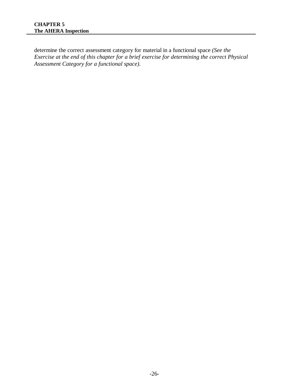determine the correct assessment category for material in a functional space *(See the Exercise at the end of this chapter for a brief exercise for determining the correct Physical Assessment Category for a functional space).*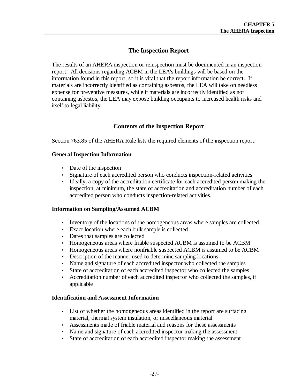# **The Inspection Report**

The results of an AHERA inspection or reinspection must be documented in an inspection report. All decisions regarding ACBM in the LEA's buildings will be based on the information found in this report, so it is vital that the report information be correct. If materials are incorrectly identified as containing asbestos, the LEA will take on needless expense for preventive measures, while if materials are incorrectly identified as not containing asbestos, the LEA may expose building occupants to increased health risks and itself to legal liability.

## **Contents of the Inspection Report**

Section 763.85 of the AHERA Rule lists the required elements of the inspection report:

#### **General Inspection Information**

- Date of the inspection
- Signature of each accredited person who conducts inspection-related activities
- Ideally, a copy of the accreditation certificate for each accredited person making the inspection; at minimum, the state of accreditation and accreditation number of each accredited person who conducts inspection-related activities.

#### **Information on Sampling/Assumed ACBM**

- Inventory of the locations of the homogeneous areas where samples are collected
- Exact location where each bulk sample is collected
- Dates that samples are collected
- Homogeneous areas where friable suspected ACBM is assumed to be ACBM
- Homogeneous areas where nonfriable suspected ACBM is assumed to be ACBM
- Description of the manner used to determine sampling locations
- Name and signature of each accredited inspector who collected the samples
- State of accreditation of each accredited inspector who collected the samples
- Accreditation number of each accredited inspector who collected the samples, if applicable

#### **Identification and Assessment Information**

- List of whether the homogeneous areas identified in the report are surfacing material, thermal system insulation, or miscellaneous material
- Assessments made of friable material and reasons for these assessments
- Name and signature of each accredited inspector making the assessment
- State of accreditation of each accredited inspector making the assessment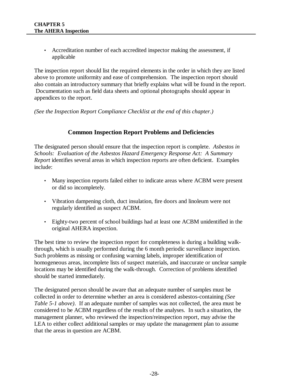• Accreditation number of each accredited inspector making the assessment, if applicable

The inspection report should list the required elements in the order in which they are listed above to promote uniformity and ease of comprehension. The inspection report should also contain an introductory summary that briefly explains what will be found in the report. Documentation such as field data sheets and optional photographs should appear in appendices to the report.

*(See the Inspection Report Compliance Checklist at the end of this chapter.)* 

### **Common Inspection Report Problems and Deficiencies**

The designated person should ensure that the inspection report is complete. *Asbestos in Schools: Evaluation of the Asbestos Hazard Emergency Response Act: A Summary Report* identifies several areas in which inspection reports are often deficient. Examples include:

- Many inspection reports failed either to indicate areas where ACBM were present or did so incompletely.
- Vibration dampening cloth, duct insulation, fire doors and linoleum were not regularly identified as suspect ACBM.
- Eighty-two percent of school buildings had at least one ACBM unidentified in the original AHERA inspection.

The best time to review the inspection report for completeness is during a building walkthrough, which is usually performed during the 6 month periodic surveillance inspection. Such problems as missing or confusing warning labels, improper identification of homogeneous areas, incomplete lists of suspect materials, and inaccurate or unclear sample locations may be identified during the walk-through. Correction of problems identified should be started immediately.

The designated person should be aware that an adequate number of samples must be collected in order to determine whether an area is considered asbestos-containing *(See Table 5-1 above)*. If an adequate number of samples was not collected, the area must be considered to be ACBM regardless of the results of the analyses. In such a situation, the management planner, who reviewed the inspection/reinspection report, may advise the LEA to either collect additional samples or may update the management plan to assume that the areas in question are ACBM.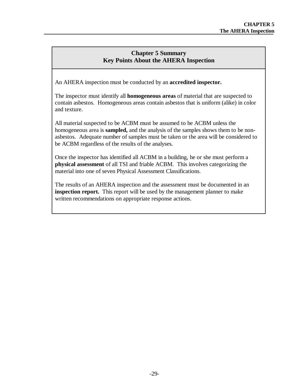# **Chapter 5 Summary Key Points About the AHERA Inspection**

An AHERA inspection must be conducted by an **accredited inspector.** 

The inspector must identify all **homogeneous areas** of material that are suspected to contain asbestos. Homogeneous areas contain asbestos that is uniform (alike) in color and texture.

All material suspected to be ACBM must be assumed to be ACBM unless the homogeneous area is **sampled,** and the analysis of the samples shows them to be nonasbestos. Adequate number of samples must be taken or the area will be considered to be ACBM regardless of the results of the analyses.

Once the inspector has identified all ACBM in a building, he or she must perform a **physical assessment** of all TSI and friable ACBM. This involves categorizing the material into one of seven Physical Assessment Classifications.

The results of an AHERA inspection and the assessment must be documented in an **inspection report.** This report will be used by the management planner to make written recommendations on appropriate response actions.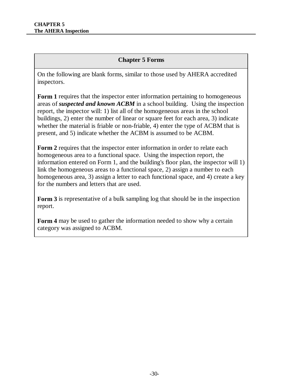# **Chapter 5 Forms**

On the following are blank forms, similar to those used by AHERA accredited inspectors.

**Form 1** requires that the inspector enter information pertaining to homogeneous areas of *suspected and known ACBM* in a school building. Using the inspection report, the inspector will: 1) list all of the homogeneous areas in the school buildings, 2) enter the number of linear or square feet for each area, 3) indicate whether the material is friable or non-friable, 4) enter the type of ACBM that is present, and 5) indicate whether the ACBM is assumed to be ACBM.

**Form 2** requires that the inspector enter information in order to relate each homogeneous area to a functional space. Using the inspection report, the information entered on Form 1, and the building's floor plan, the inspector will 1) link the homogeneous areas to a functional space, 2) assign a number to each homogeneous area, 3) assign a letter to each functional space, and 4) create a key for the numbers and letters that are used.

**Form 3** is representative of a bulk sampling log that should be in the inspection report.

**Form 4** may be used to gather the information needed to show why a certain category was assigned to ACBM.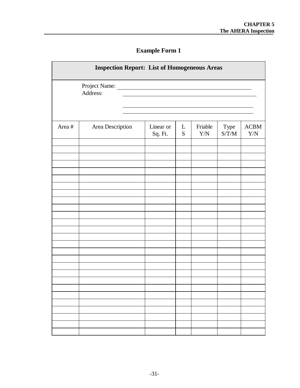| <b>Inspection Report: List of Homogeneous Areas</b> |                           |           |           |         |       |             |
|-----------------------------------------------------|---------------------------|-----------|-----------|---------|-------|-------------|
|                                                     | Project Name:<br>Address: |           |           |         |       |             |
| Area #                                              | Area Description          | Linear or | L         | Friable | Type  | <b>ACBM</b> |
|                                                     |                           | Sq. Ft.   | ${\bf S}$ | Y/N     | S/T/M | Y/N         |
|                                                     |                           |           |           |         |       |             |
|                                                     |                           |           |           |         |       |             |
|                                                     |                           |           |           |         |       |             |
|                                                     |                           |           |           |         |       |             |
|                                                     |                           |           |           |         |       |             |
|                                                     |                           |           |           |         |       |             |
|                                                     |                           |           |           |         |       |             |
|                                                     |                           |           |           |         |       |             |
|                                                     |                           |           |           |         |       |             |
|                                                     |                           |           |           |         |       |             |
|                                                     |                           |           |           |         |       |             |
|                                                     |                           |           |           |         |       |             |
|                                                     |                           |           |           |         |       |             |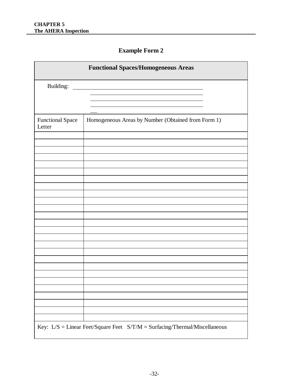|                                   | <b>Functional Spaces/Homogeneous Areas</b>                                                         |
|-----------------------------------|----------------------------------------------------------------------------------------------------|
| Building:                         |                                                                                                    |
|                                   |                                                                                                    |
|                                   |                                                                                                    |
| <b>Functional Space</b><br>Letter | Homogeneous Areas by Number (Obtained from Form 1)                                                 |
|                                   |                                                                                                    |
|                                   |                                                                                                    |
|                                   |                                                                                                    |
|                                   |                                                                                                    |
|                                   |                                                                                                    |
|                                   |                                                                                                    |
|                                   |                                                                                                    |
|                                   |                                                                                                    |
|                                   |                                                                                                    |
|                                   |                                                                                                    |
|                                   |                                                                                                    |
|                                   |                                                                                                    |
|                                   |                                                                                                    |
|                                   |                                                                                                    |
|                                   |                                                                                                    |
|                                   |                                                                                                    |
|                                   |                                                                                                    |
|                                   | Key: $L/S = Linear \text{ feet}/Square \text{ feet} \quad S/T/M = Surfacing/Thermal/Miscellaneous$ |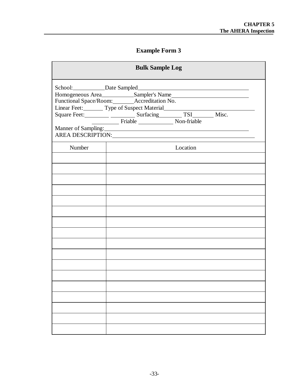|                                   | <b>Bulk Sample Log</b>                                                                                                                                 |
|-----------------------------------|--------------------------------------------------------------------------------------------------------------------------------------------------------|
| School: ____________Date Sampled_ |                                                                                                                                                        |
|                                   | Homogeneous Area Sampler's Name                                                                                                                        |
|                                   | Functional Space/Room: Accreditation No.                                                                                                               |
|                                   |                                                                                                                                                        |
|                                   |                                                                                                                                                        |
|                                   | Linear Feet: Type of Suspect Material<br>Square Feet: Type of Suspect Material<br>Friable<br>Manner of Sampling: Friable<br>Non-friable<br>Non-friable |
| Number                            | Location                                                                                                                                               |
|                                   |                                                                                                                                                        |
|                                   |                                                                                                                                                        |
|                                   |                                                                                                                                                        |
|                                   |                                                                                                                                                        |
|                                   |                                                                                                                                                        |
|                                   |                                                                                                                                                        |
|                                   |                                                                                                                                                        |
|                                   |                                                                                                                                                        |
|                                   |                                                                                                                                                        |
|                                   |                                                                                                                                                        |
|                                   |                                                                                                                                                        |
|                                   |                                                                                                                                                        |
|                                   |                                                                                                                                                        |
|                                   |                                                                                                                                                        |
|                                   |                                                                                                                                                        |
|                                   |                                                                                                                                                        |
|                                   |                                                                                                                                                        |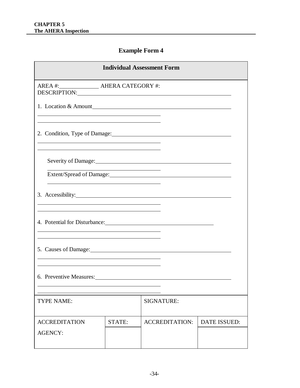|                                                                                                                                                                                                                                                                                    |        | <b>Individual Assessment Form</b> |                     |
|------------------------------------------------------------------------------------------------------------------------------------------------------------------------------------------------------------------------------------------------------------------------------------|--------|-----------------------------------|---------------------|
| AREA #: ________________ AHERA CATEGORY #:<br>DESCRIPTION: <u>Contract of the Contract of the Contract of the Contract of the Contract of the Contract of the Contract of the Contract of the Contract of the Contract of the Contract of the Contract of the Contract of the </u> |        |                                   |                     |
|                                                                                                                                                                                                                                                                                    |        |                                   |                     |
|                                                                                                                                                                                                                                                                                    |        |                                   |                     |
|                                                                                                                                                                                                                                                                                    |        |                                   |                     |
|                                                                                                                                                                                                                                                                                    |        |                                   |                     |
| 3. Accessibility:                                                                                                                                                                                                                                                                  |        |                                   |                     |
| 4. Potential for Disturbance: 2008. [2010]                                                                                                                                                                                                                                         |        |                                   |                     |
| 5. Causes of Damage:                                                                                                                                                                                                                                                               |        |                                   |                     |
| 6. Preventive Measures:                                                                                                                                                                                                                                                            |        |                                   |                     |
| <b>TYPE NAME:</b>                                                                                                                                                                                                                                                                  |        | SIGNATURE:                        |                     |
| <b>ACCREDITATION</b><br><b>AGENCY:</b>                                                                                                                                                                                                                                             | STATE: | <b>ACCREDITATION:</b>             | <b>DATE ISSUED:</b> |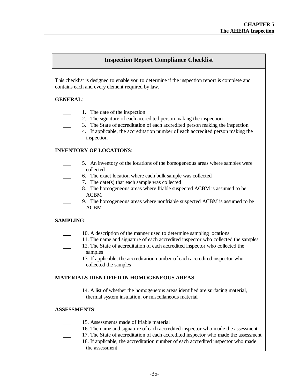## **Inspection Report Compliance Checklist**

This checklist is designed to enable you to determine if the inspection report is complete and contains each and every element required by law.

#### **GENERAL**:

 $\overline{a}$  $\overline{a}$  $\overline{a}$  $\overline{a}$ 

 $\overline{a}$  $\overline{a}$  $\overline{a}$ 

 $\overline{a}$ 

 $\overline{a}$ 

 $\overline{a}$ 

 $\overline{a}$ 

- 1. The date of the inspection
- 2. The signature of each accredited person making the inspection
- 3. The State of accreditation of each accredited person making the inspection
- 4. If applicable, the accreditation number of each accredited person making the inspection

#### **INVENTORY OF LOCATIONS**:

- $\overline{a}$ 5. An inventory of the locations of the homogeneous areas where samples were collected
	- 6. The exact location where each bulk sample was collected
	- 7. The date(s) that each sample was collected
	- 8. The homogeneous areas where friable suspected ACBM is assumed to be ACBM
	- 9. The homogeneous areas where nonfriable suspected ACBM is assumed to be ACBM

#### **SAMPLING**:

- $\overline{a}$ 10. A description of the manner used to determine sampling locations
	- 11. The name and signature of each accredited inspector who collected the samples
- $\overline{a}$ 12. The State of accreditation of each accredited inspector who collected the samples
- 13. If applicable, the accreditation number of each accredited inspector who collected the samples

#### **MATERIALS IDENTIFIED IN HOMOGENEOUS AREAS**:

14. A list of whether the homogeneous areas identified are surfacing material, thermal system insulation, or miscellaneous material

#### **ASSESSMENTS**:

 $\overline{a}$  $\overline{a}$  $\overline{a}$  $\overline{a}$ 15. Assessments made of friable material 16. The name and signature of each accredited inspector who made the assessment 17. The State of accreditation of each accredited inspector who made the assessment 18. If applicable, the accreditation number of each accredited inspector who made the assessment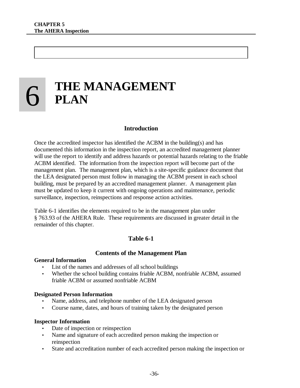# 6 **THE MANAGEMENT PLAN**

#### **Introduction**

Once the accredited inspector has identified the ACBM in the building(s) and has documented this information in the inspection report, an accredited management planner will use the report to identify and address hazards or potential hazards relating to the friable ACBM identified. The information from the inspection report will become part of the management plan. The management plan, which is a site-specific guidance document that the LEA designated person must follow in managing the ACBM present in each school building, must be prepared by an accredited management planner. A management plan must be updated to keep it current with ongoing operations and maintenance, periodic surveillance, inspection, reinspections and response action activities.

Table 6-1 identifies the elements required to be in the management plan under § 763.93 of the AHERA Rule. These requirements are discussed in greater detail in the remainder of this chapter.

#### **Table 6-1**

#### **Contents of the Management Plan**

#### **General Information**

- List of the names and addresses of all school buildings
- Whether the school building contains friable ACBM, nonfriable ACBM, assumed friable ACBM or assumed nonfriable ACBM

#### **Designated Person Information**

- Name, address, and telephone number of the LEA designated person
- Course name, dates, and hours of training taken by the designated person

#### **Inspector Information**

- Date of inspection or reinspection
- Name and signature of each accredited person making the inspection or reinspection
- State and accreditation number of each accredited person making the inspection or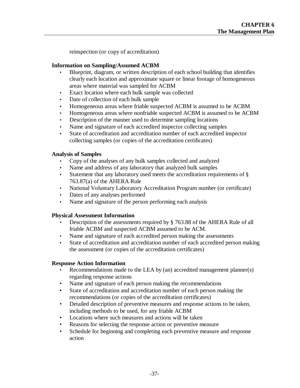reinspection (or copy of accreditation)

#### **Information on Sampling/Assumed ACBM**

- Blueprint, diagram, or written description of each school building that identifies clearly each location and approximate square or linear footage of homogeneous areas where material was sampled for ACBM
- Exact location where each bulk sample was collected
- Date of collection of each bulk sample
- Homogeneous areas where friable suspected ACBM is assumed to be ACBM
- Homogeneous areas where nonfriable suspected ACBM is assumed to be ACBM
- Description of the manner used to determine sampling locations
- Name and signature of each accredited inspector collecting samples
- State of accreditation and accreditation number of each accredited inspector collecting samples (or copies of the accreditation certificates)

#### **Analysis of Samples**

- Copy of the analyses of any bulk samples collected and analyzed
- Name and address of any laboratory that analyzed bulk samples
- Statement that any laboratory used meets the accreditation requirements of § 763.87(a) of the AHERA Rule
- National Voluntary Laboratory Accreditation Program number (or certificate)
- Dates of any analyses performed
- Name and signature of the person performing each analysis

#### **Physical Assessment Information**

- Description of the assessments required by § 763.88 of the AHERA Rule of all friable ACBM and suspected ACBM assumed to be ACM.
- Name and signature of each accredited person making the assessments
- State of accreditation and accreditation number of each accredited person making the assessment (or copies of the accreditation certificates)

#### **Response Action Information**

- Recommendations made to the LEA by (an) accredited management planner(s) regarding response actions
- Name and signature of each person making the recommendations
- State of accreditation and accreditation number of each person making the recommendations (or copies of the accreditation certificates)
- Detailed description of preventive measures and response actions to be taken, including methods to be used, for any friable ACBM
- Locations where such measures and actions will be taken
- Reasons for selecting the response action or preventive measure
- Schedule for beginning and completing each preventive measure and response action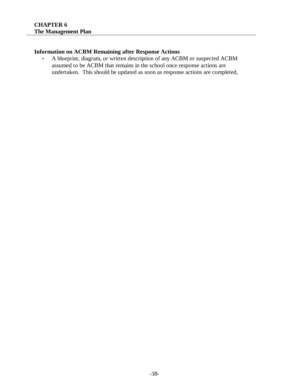#### **Information on ACBM Remaining after Response Actions**

• A blueprint, diagram, or written description of any ACBM or suspected ACBM assumed to be ACBM that remains in the school once response actions are undertaken. This should be updated as soon as response actions are completed,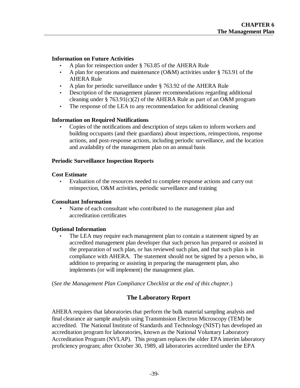#### **Information on Future Activities**

- A plan for reinspection under § 763.85 of the AHERA Rule
- A plan for operations and maintenance (O&M) activities under § 763.91 of the AHERA Rule
- A plan for periodic surveillance under § 763.92 of the AHERA Rule
- Description of the management planner recommendations regarding additional cleaning under § 763.91(c)(2) of the AHERA Rule as part of an O&M program
- The response of the LEA to any recommendation for additional cleaning

#### **Information on Required Notifications**

• Copies of the notifications and description of steps taken to inform workers and building occupants (and their guardians) about inspections, reinspections, response actions, and post-response actions, including periodic surveillance, and the location and availability of the management plan on an annual basis

#### **Periodic Surveillance Inspection Reports**

#### **Cost Estimate**

• Evaluation of the resources needed to complete response actions and carry out reinspection, O&M activities, periodic surveillance and training

#### **Consultant Information**

• Name of each consultant who contributed to the management plan and accreditation certificates

#### **Optional Information**

The LEA may require each management plan to contain a statement signed by an accredited management plan developer that such person has prepared or assisted in the preparation of such plan, or has reviewed such plan, and that such plan is in compliance with AHERA. The statement should not be signed by a person who, in addition to preparing or assisting in preparing the management plan, also implements (or will implement) the management plan.

(*See the Management Plan Compliance Checklist at the end of this chapter.*)

#### **The Laboratory Report**

AHERA requires that laboratories that perform the bulk material sampling analysis and final clearance air sample analysis using Transmission Electron Microscopy (TEM) be accredited. The National Institute of Standards and Technology (NIST) has developed an accreditation program for laboratories, known as the National Voluntary Laboratory Accreditation Program (NVLAP). This program replaces the older EPA interim laboratory proficiency program; after October 30, 1989, all laboratories accredited under the EPA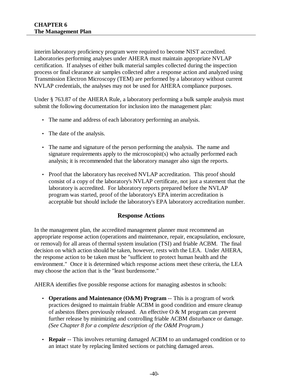interim laboratory proficiency program were required to become NIST accredited. Laboratories performing analyses under AHERA must maintain appropriate NVLAP certification. If analyses of either bulk material samples collected during the inspection process or final clearance air samples collected after a response action and analyzed using Transmission Electron Microscopy (TEM) are performed by a laboratory without current NVLAP credentials, the analyses may not be used for AHERA compliance purposes.

Under § 763.87 of the AHERA Rule, a laboratory performing a bulk sample analysis must submit the following documentation for inclusion into the management plan:

- The name and address of each laboratory performing an analysis.
- The date of the analysis.
- The name and signature of the person performing the analysis. The name and signature requirements apply to the microscopist(s) who actually performed each analysis; it is recommended that the laboratory manager also sign the reports.
- Proof that the laboratory has received NVLAP accreditation. This proof should consist of a copy of the laboratory's NVLAP certificate, not just a statement that the laboratory is accredited. For laboratory reports prepared before the NVLAP program was started, proof of the laboratory's EPA interim accreditation is acceptable but should include the laboratory's EPA laboratory accreditation number.

# **Response Actions**

In the management plan, the accredited management planner must recommend an appropriate response action (operations and maintenance, repair, encapsulation, enclosure, or removal) for all areas of thermal system insulation (TSI) and friable ACBM. The final decision on which action should be taken, however, rests with the LEA. Under AHERA, the response action to be taken must be "sufficient to protect human health and the environment." Once it is determined which response actions meet these criteria, the LEA may choose the action that is the "least burdensome."

AHERA identifies five possible response actions for managing asbestos in schools:

- **Operations and Maintenance (O&M) Program** -- This is a program of work practices designed to maintain friable ACBM in good condition and ensure cleanup of asbestos fibers previously released. An effective O & M program can prevent further release by minimizing and controlling friable ACBM disturbance or damage. *(See Chapter 8 for a complete description of the O&M Program.)*
- **Repair** -- This involves returning damaged ACBM to an undamaged condition or to an intact state by replacing limited sections or patching damaged areas.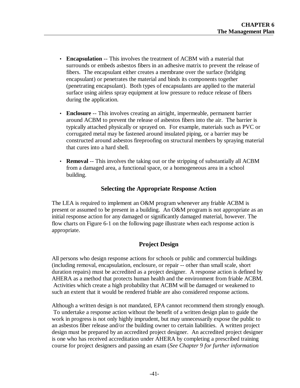- **Encapsulation** -- This involves the treatment of ACBM with a material that surrounds or embeds asbestos fibers in an adhesive matrix to prevent the release of fibers. The encapsulant either creates a membrane over the surface (bridging encapsulant) or penetrates the material and binds its components together (penetrating encapsulant). Both types of encapsulants are applied to the material surface using airless spray equipment at low pressure to reduce release of fibers during the application.
- **Enclosure** -- This involves creating an airtight, impermeable, permanent barrier around ACBM to prevent the release of asbestos fibers into the air. The barrier is typically attached physically or sprayed on. For example, materials such as PVC or corrugated metal may be fastened around insulated piping, or a barrier may be constructed around asbestos fireproofing on structural members by spraying material that cures into a hard shell.
- **Removal** -- This involves the taking out or the stripping of substantially all ACBM from a damaged area, a functional space, or a homogeneous area in a school building.

## **Selecting the Appropriate Response Action**

The LEA is required to implement an O&M program whenever any friable ACBM is present or assumed to be present in a building. An O&M program is not appropriate as an initial response action for any damaged or significantly damaged material, however. The flow charts on Figure 6-1 on the following page illustrate when each response action is appropriate.

# **Project Design**

All persons who design response actions for schools or public and commercial buildings (including removal, encapsulation, enclosure, or repair -- other than small scale, short duration repairs) must be accredited as a project designer. A response action is defined by AHERA as a method that protects human health and the environment from friable ACBM. Activities which create a high probability that ACBM will be damaged or weakened to such an extent that it would be rendered friable are also considered response actions.

Although a written design is not mandated, EPA cannot recommend them strongly enough. To undertake a response action without the benefit of a written design plan to guide the work in progress is not only highly imprudent, but may unnecessarily expose the public to an asbestos fiber release and/or the building owner to certain liabilities. A written project design must be prepared by an accredited project designer. An accredited project designer is one who has received accreditation under AHERA by completing a prescribed training course for project designers and passing an exam (*See Chapter 9 for further information*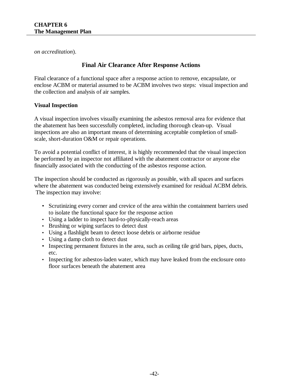*on accreditation*).

# **Final Air Clearance After Response Actions**

Final clearance of a functional space after a response action to remove, encapsulate, or enclose ACBM or material assumed to be ACBM involves two steps: visual inspection and the collection and analysis of air samples.

#### **Visual Inspection**

A visual inspection involves visually examining the asbestos removal area for evidence that the abatement has been successfully completed, including thorough clean-up. Visual inspections are also an important means of determining acceptable completion of smallscale, short-duration O&M or repair operations.

To avoid a potential conflict of interest, it is highly recommended that the visual inspection be performed by an inspector not affiliated with the abatement contractor or anyone else financially associated with the conducting of the asbestos response action.

The inspection should be conducted as rigorously as possible, with all spaces and surfaces where the abatement was conducted being extensively examined for residual ACBM debris. The inspection may involve:

- Scrutinizing every corner and crevice of the area within the containment barriers used to isolate the functional space for the response action
- Using a ladder to inspect hard-to-physically-reach areas
- Brushing or wiping surfaces to detect dust
- Using a flashlight beam to detect loose debris or airborne residue
- Using a damp cloth to detect dust
- Inspecting permanent fixtures in the area, such as ceiling tile grid bars, pipes, ducts, etc.
- Inspecting for asbestos-laden water, which may have leaked from the enclosure onto floor surfaces beneath the abatement area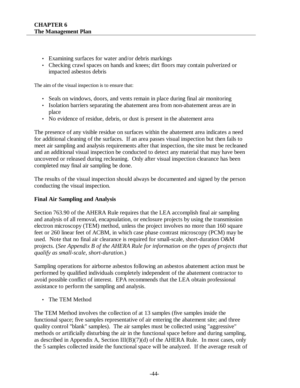- Examining surfaces for water and/or debris markings
- Checking crawl spaces on hands and knees; dirt floors may contain pulverized or impacted asbestos debris

The aim of the visual inspection is to ensure that:

- Seals on windows, doors, and vents remain in place during final air monitoring
- Isolation barriers separating the abatement area from non-abatement areas are in place
- No evidence of residue, debris, or dust is present in the abatement area

The presence of any visible residue on surfaces within the abatement area indicates a need for additional cleaning of the surfaces. If an area passes visual inspection but then fails to meet air sampling and analysis requirements after that inspection, the site must be recleaned and an additional visual inspection be conducted to detect any material that may have been uncovered or released during recleaning. Only after visual inspection clearance has been completed may final air sampling be done.

The results of the visual inspection should always be documented and signed by the person conducting the visual inspection.

#### **Final Air Sampling and Analysis**

Section 763.90 of the AHERA Rule requires that the LEA accomplish final air sampling and analysis of all removal, encapsulation, or enclosure projects by using the transmission electron microscopy (TEM) method, unless the project involves no more than 160 square feet or 260 linear feet of ACBM, in which case phase contrast microscopy (PCM) may be used. Note that no final air clearance is required for small-scale, short-duration O&M projects. (*See Appendix B of the AHERA Rule for information on the types of projects that qualify as small-scale, short-duration*.)

Sampling operations for airborne asbestos following an asbestos abatement action must be performed by qualified individuals completely independent of the abatement contractor to avoid possible conflict of interest. EPA recommends that the LEA obtain professional assistance to perform the sampling and analysis.

• The TEM Method

The TEM Method involves the collection of at 13 samples (five samples inside the functional space; five samples representative of air entering the abatement site; and three quality control "blank" samples). The air samples must be collected using "aggressive" methods or artificially disturbing the air in the functional space before and during sampling, as described in Appendix A, Section III(B)(7)(d) of the AHERA Rule. In most cases, only the 5 samples collected inside the functional space will be analyzed. If the average result of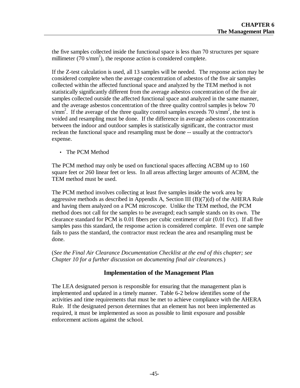the five samples collected inside the functional space is less than 70 structures per square millimeter  $(70 \text{ s/mm}^2)$ , the response action is considered complete.

If the Z-test calculation is used, all 13 samples will be needed. The response action may be considered complete when the average concentration of asbestos of the five air samples collected within the affected functional space and analyzed by the TEM method is not statistically significantly different from the average asbestos concentration of the five air samples collected outside the affected functional space and analyzed in the same manner, and the average asbestos concentration of the three quality control samples is below 70 s/mm<sup>2</sup>. If the average of the three quality control samples exceeds 70 s/mm<sup>2</sup>, the test is voided and resampling must be done. If the difference in average asbestos concentration between the indoor and outdoor samples is statistically significant, the contractor must reclean the functional space and resampling must be done -- usually at the contractor's expense.

• The PCM Method

The PCM method may only be used on functional spaces affecting ACBM up to 160 square feet or 260 linear feet or less. In all areas affecting larger amounts of ACBM, the TEM method must be used.

The PCM method involves collecting at least five samples inside the work area by aggressive methods as described in Appendix A, Section III (B)(7)(d) of the AHERA Rule and having them analyzed on a PCM microscope. Unlike the TEM method, the PCM method does not call for the samples to be averaged; each sample stands on its own. The clearance standard for PCM is  $0.01$  fibers per cubic centimeter of air  $(0.01 \text{ f/cc})$ . If all five samples pass this standard, the response action is considered complete. If even one sample fails to pass the standard, the contractor must reclean the area and resampling must be done.

(*See the Final Air Clearance Documentation Checklist at the end of this chapter; see Chapter 10 for a further discussion on documenting final air clearances.*)

# **Implementation of the Management Plan**

The LEA designated person is responsible for ensuring that the management plan is implemented and updated in a timely manner. Table 6-2 below identifies some of the activities and time requirements that must be met to achieve compliance with the AHERA Rule. If the designated person determines that an element has not been implemented as required, it must be implemented as soon as possible to limit exposure and possible enforcement actions against the school.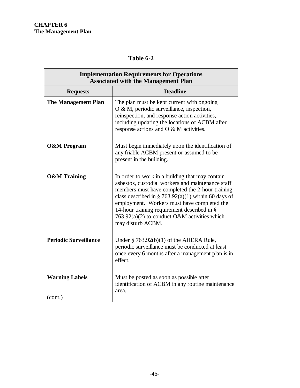# **Table 6-2**

| <b>Implementation Requirements for Operations</b><br><b>Associated with the Management Plan</b> |                                                                                                                                                                                                                                                                                                                                                                                     |  |
|-------------------------------------------------------------------------------------------------|-------------------------------------------------------------------------------------------------------------------------------------------------------------------------------------------------------------------------------------------------------------------------------------------------------------------------------------------------------------------------------------|--|
| <b>Requests</b>                                                                                 | <b>Deadline</b>                                                                                                                                                                                                                                                                                                                                                                     |  |
| <b>The Management Plan</b>                                                                      | The plan must be kept current with ongoing<br>O & M, periodic surveillance, inspection,<br>reinspection, and response action activities,<br>including updating the locations of ACBM after<br>response actions and O & M activities.                                                                                                                                                |  |
| <b>O&amp;M</b> Program                                                                          | Must begin immediately upon the identification of<br>any friable ACBM present or assumed to be<br>present in the building.                                                                                                                                                                                                                                                          |  |
| <b>O&amp;M</b> Training                                                                         | In order to work in a building that may contain<br>asbestos, custodial workers and maintenance staff<br>members must have completed the 2-hour training<br>class described in § 763.92(a)(1) within 60 days of<br>employment. Workers must have completed the<br>14-hour training requirement described in §<br>$763.92(a)(2)$ to conduct O&M activities which<br>may disturb ACBM. |  |
| <b>Periodic Surveillance</b>                                                                    | Under $\S$ 763.92(b)(1) of the AHERA Rule,<br>periodic surveillance must be conducted at least<br>once every 6 months after a management plan is in<br>effect.                                                                                                                                                                                                                      |  |
| <b>Warning Labels</b><br>(cont.)                                                                | Must be posted as soon as possible after<br>identification of ACBM in any routine maintenance<br>area.                                                                                                                                                                                                                                                                              |  |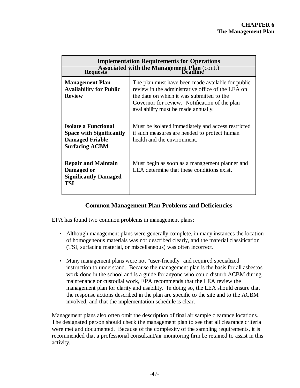| <b>Implementation Requirements for Operations</b>                                                                 |                                                                                                                                                                                                                                             |  |
|-------------------------------------------------------------------------------------------------------------------|---------------------------------------------------------------------------------------------------------------------------------------------------------------------------------------------------------------------------------------------|--|
| <b>Requests</b>                                                                                                   | <b>Associated with the Management Plan (cont.)</b><br>Deadline                                                                                                                                                                              |  |
| <b>Management Plan</b><br><b>Availability for Public</b><br><b>Review</b>                                         | The plan must have been made available for public<br>review in the administrative office of the LEA on<br>the date on which it was submitted to the<br>Governor for review. Notification of the plan<br>availability must be made annually. |  |
| <b>Isolate a Functional</b><br><b>Space with Significantly</b><br><b>Damaged Friable</b><br><b>Surfacing ACBM</b> | Must be isolated immediately and access restricted<br>if such measures are needed to protect human<br>health and the environment.                                                                                                           |  |
| <b>Repair and Maintain</b><br>Damaged or<br><b>Significantly Damaged</b><br>TSI                                   | Must begin as soon as a management planner and<br>LEA determine that these conditions exist.                                                                                                                                                |  |

# **Common Management Plan Problems and Deficiencies**

EPA has found two common problems in management plans:

- Although management plans were generally complete, in many instances the location of homogeneous materials was not described clearly, and the material classification (TSI, surfacing material, or miscellaneous) was often incorrect.
- Many management plans were not "user-friendly" and required specialized instruction to understand. Because the management plan is the basis for all asbestos work done in the school and is a guide for anyone who could disturb ACBM during maintenance or custodial work, EPA recommends that the LEA review the management plan for clarity and usability. In doing so, the LEA should ensure that the response actions described in the plan are specific to the site and to the ACBM involved, and that the implementation schedule is clear.

Management plans also often omit the description of final air sample clearance locations. The designated person should check the management plan to see that all clearance criteria were met and documented. Because of the complexity of the sampling requirements, it is recommended that a professional consultant/air monitoring firm be retained to assist in this activity.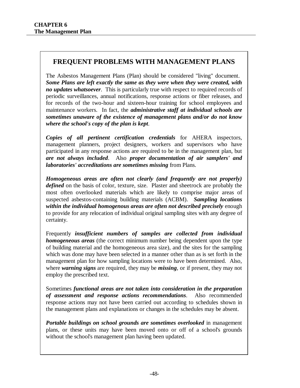# **FREQUENT PROBLEMS WITH MANAGEMENT PLANS**

The Asbestos Management Plans (Plan) should be considered "living" document. *Some Plans are left exactly the same as they were when they were created, with no updates whatsoever*. This is particularly true with respect to required records of periodic surveillances, annual notifications, response actions or fiber releases, and for records of the two-hour and sixteen-hour training for school employees and maintenance workers. In fact, the *administrative staff at individual schools are sometimes unaware of the existence of management plans and/or do not know where the school's copy of the plan is kept*.

*Copies of all pertinent certification credentials* for AHERA inspectors, management planners, project designers, workers and supervisors who have participated in any response actions are required to be in the management plan, but *are not always included*. Also *proper documentation of air samplers' and laboratories' accreditations are sometimes missing* from Plans.

*Homogeneous areas are often not clearly (and frequently are not properly) defined* on the basis of color, texture, size. Plaster and sheetrock are probably the most often overlooked materials which are likely to comprise major areas of suspected asbestos-containing building materials (ACBM). *Sampling locations within the individual homogenous areas are often not described precisely* enough to provide for any relocation of individual original sampling sites with any degree of certainty.

Frequently *insufficient numbers of samples are collected from individual homogeneous areas* (the correct minimum number being dependent upon the type of building material and the homogeneous area size), and the sites for the sampling which was done may have been selected in a manner other than as is set forth in the management plan for how sampling locations were to have been determined. Also, where *warning signs* are required, they may be *missing*, or if present, they may not employ the prescribed text.

Sometimes *functional areas are not taken into consideration in the preparation of assessment and response actions recommendations*. Also recommended response actions may not have been carried out according to schedules shown in the management plans and explanations or changes in the schedules may be absent.

*Portable buildings on school grounds are sometimes overlooked* in management plans, or these units may have been moved onto or off of a school's grounds without the school's management plan having been updated.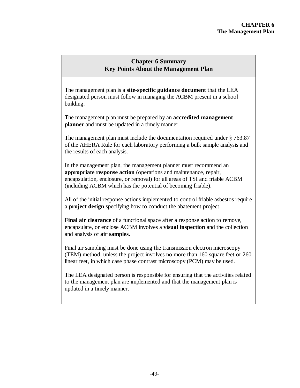# **Chapter 6 Summary Key Points About the Management Plan**

The management plan is a **site-specific guidance document** that the LEA designated person must follow in managing the ACBM present in a school building.

The management plan must be prepared by an **accredited management planner** and must be updated in a timely manner.

The management plan must include the documentation required under § 763.87 of the AHERA Rule for each laboratory performing a bulk sample analysis and the results of each analysis.

In the management plan, the management planner must recommend an **appropriate response action** (operations and maintenance, repair, encapsulation, enclosure, or removal) for all areas of TSI and friable ACBM (including ACBM which has the potential of becoming friable).

All of the initial response actions implemented to control friable asbestos require a **project design** specifying how to conduct the abatement project.

**Final air clearance** of a functional space after a response action to remove, encapsulate, or enclose ACBM involves a **visual inspection** and the collection and analysis of **air samples.** 

Final air sampling must be done using the transmission electron microscopy (TEM) method, unless the project involves no more than 160 square feet or 260 linear feet, in which case phase contrast microscopy (PCM) may be used.

The LEA designated person is responsible for ensuring that the activities related to the management plan are implemented and that the management plan is updated in a timely manner.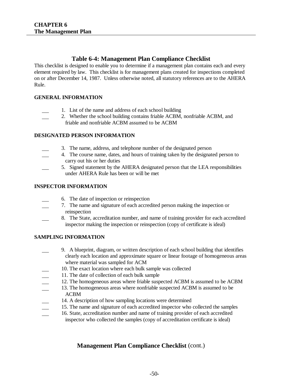#### **Table 6-4: Management Plan Compliance Checklist**

This checklist is designed to enable you to determine if a management plan contains each and every element required by law. This checklist is for management plans created for inspections completed on or after December 14, 1987. Unless otherwise noted, all statutory references are to the AHERA Rule.

#### **GENERAL INFORMATION**

 $\overline{a}$  $\overline{a}$ 

 $\overline{a}$ 

 $\overline{a}$  $\overline{a}$ 

 $\overline{a}$ 

 $\overline{a}$ 

 $\overline{a}$ 

 $\overline{a}$ 

- 1. List of the name and address of each school building
- 2. Whether the school building contains friable ACBM, nonfriable ACBM, and friable and nonfriable ACBM assumed to be ACBM

#### **DESIGNATED PERSON INFORMATION**

- $\overline{a}$ 3. The name, address, and telephone number of the designated person
- 4. The course name, dates, and hours of training taken by the designated person to carry out his or her duties
- $\overline{a}$ 5. Signed statement by the AHERA designated person that the LEA responsibilities under AHERA Rule has been or will be met

#### **INSPECTOR INFORMATION**

- 6. The date of inspection or reinspection
- 7. The name and signature of each accredited person making the inspection or reinspection
- $\overline{a}$ 8. The State, accreditation number, and name of training provider for each accredited inspector making the inspection or reinspection (copy of certificate is ideal)

#### **SAMPLING INFORMATION**

- 9. A blueprint, diagram, or written description of each school building that identifies clearly each location and approximate square or linear footage of homogeneous areas where material was sampled for ACM
- 10. The exact location where each bulk sample was collected
- $\overline{a}$ 11. The date of collection of each bulk sample
- $\overline{a}$ 12. The homogeneous areas where friable suspected ACBM is assumed to be ACBM
- 13. The homogeneous areas where nonfriable suspected ACBM is assumed to be ACBM
- 14. A description of how sampling locations were determined
- $\overline{a}$ 15. The name and signature of each accredited inspector who collected the samples
- $\overline{a}$ 16. State, accreditation number and name of training provider of each accredited inspector who collected the samples (copy of accreditation certificate is ideal)

# **Management Plan Compliance Checklist** (cont.)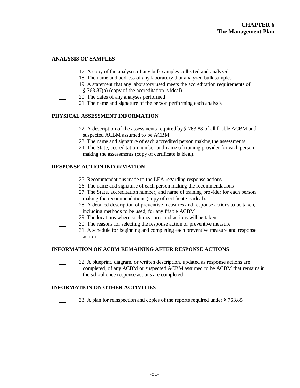#### **ANALYSIS OF SAMPLES**

 $\overline{a}$ 

- $\overline{a}$ 17. A copy of the analyses of any bulk samples collected and analyzed
	- 18. The name and address of any laboratory that analyzed bulk samples
- $\overline{a}$ 19. A statement that any laboratory used meets the accreditation requirements of § 763.87(a) (copy of the accreditation is ideal)
- $\overline{a}$ 20. The dates of any analyses performed
- $\overline{a}$ 21. The name and signature of the person performing each analysis

#### **PHYSICAL ASSESSMENT INFORMATION**

- $\overline{a}$ 22. A description of the assessments required by § 763.88 of all friable ACBM and suspected ACBM assumed to be ACBM.
- $\overline{a}$ 23. The name and signature of each accredited person making the assessments
- $\overline{a}$ 24. The State, accreditation number and name of training provider for each person making the assessments (copy of certificate is ideal).

#### **RESPONSE ACTION INFORMATION**

- $\overline{a}$ 25. Recommendations made to the LEA regarding response actions
- $\overline{a}$ 26. The name and signature of each person making the recommendations
- $\overline{a}$ 27. The State, accreditation number, and name of training provider for each person making the recommendations (copy of certificate is ideal).
- $\overline{a}$ 28. A detailed description of preventive measures and response actions to be taken, including methods to be used, for any friable ACBM
- $\overline{a}$ 29. The locations where such measures and actions will be taken
- $\overline{a}$ 30. The reasons for selecting the response action or preventive measure
- $\overline{a}$ 31. A schedule for beginning and completing each preventive measure and response action

#### **INFORMATION ON ACBM REMAINING AFTER RESPONSE ACTIONS**

 $\overline{a}$ 32. A blueprint, diagram, or written description, updated as response actions are completed, of any ACBM or suspected ACBM assumed to be ACBM that remains in the school once response actions are completed

#### **INFORMATION ON OTHER ACTIVITIES**

 $\overline{a}$ 33. A plan for reinspection and copies of the reports required under § 763.85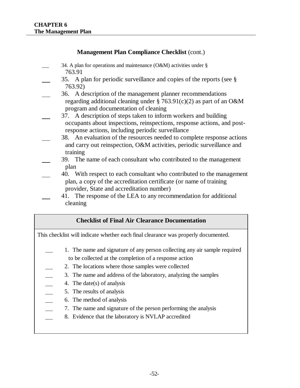# **Management Plan Compliance Checklist** (cont.)

| 34. A plan for operations and maintenance $(O&M)$ activities under §<br>763.91                                                                                                                  |
|-------------------------------------------------------------------------------------------------------------------------------------------------------------------------------------------------|
| 35. A plan for periodic surveillance and copies of the reports (see $\S$ )<br>763.92)                                                                                                           |
| 36. A description of the management planner recommendations<br>regarding additional cleaning under $\S 763.91(c)(2)$ as part of an O&M<br>program and documentation of cleaning                 |
| 37. A description of steps taken to inform workers and building<br>occupants about inspections, reinspections, response actions, and post-<br>response actions, including periodic surveillance |
| 38. An evaluation of the resources needed to complete response actions<br>and carry out reinspection, O&M activities, periodic surveillance and<br>training                                     |
| 39. The name of each consultant who contributed to the management<br>plan                                                                                                                       |
| 40. With respect to each consultant who contributed to the management<br>plan, a copy of the accreditation certificate (or name of training<br>provider, State and accreditation number)        |
| 41. The response of the LEA to any recommendation for additional                                                                                                                                |

cleaning

 $\overline{a}$ 

 $\overline{a}$  $\overline{a}$  $\overline{a}$  $\overline{a}$  $\overline{a}$  $\overline{a}$ 

# **Checklist of Final Air Clearance Documentation**

This checklist will indicate whether each final clearance was properly documented.

- 1. The name and signature of any person collecting any air sample required to be collected at the completion of a response action
- $\overline{a}$ 2. The locations where those samples were collected
	- 3. The name and address of the laboratory, analyzing the samples
		- 4. The date(s) of analysis
		- 5. The results of analysis
		- 6. The method of analysis
	- 7. The name and signature of the person performing the analysis
	- 8. Evidence that the laboratory is NVLAP accredited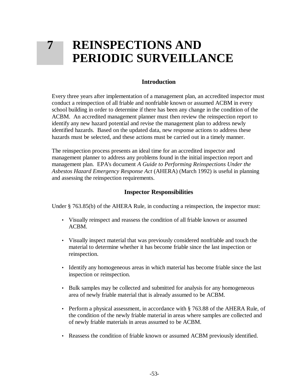# **7 REINSPECTIONS AND PERIODIC SURVEILLANCE**

#### **Introduction**

Every three years after implementation of a management plan, an accredited inspector must conduct a reinspection of all friable and nonfriable known or assumed ACBM in every school building in order to determine if there has been any change in the condition of the ACBM. An accredited management planner must then review the reinspection report to identify any new hazard potential and revise the management plan to address newly identified hazards. Based on the updated data, new response actions to address these hazards must be selected, and these actions must be carried out in a timely manner.

The reinspection process presents an ideal time for an accredited inspector and management planner to address any problems found in the initial inspection report and management plan. EPA's document *A Guide to Performing Reinspections Under the Asbestos Hazard Emergency Response Act* (AHERA) (March 1992) is useful in planning and assessing the reinspection requirements.

# **Inspector Responsibilities**

Under § 763.85(b) of the AHERA Rule, in conducting a reinspection, the inspector must:

- Visually reinspect and reassess the condition of all friable known or assumed ACBM.
- Visually inspect material that was previously considered nonfriable and touch the material to determine whether it has become friable since the last inspection or reinspection.
- Identify any homogeneous areas in which material has become friable since the last inspection or reinspection.
- Bulk samples may be collected and submitted for analysis for any homogeneous area of newly friable material that is already assumed to be ACBM.
- Perform a physical assessment, in accordance with § 763.88 of the AHERA Rule, of the condition of the newly friable material in areas where samples are collected and of newly friable materials in areas assumed to be ACBM.
- Reassess the condition of friable known or assumed ACBM previously identified.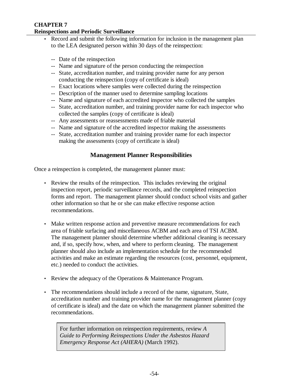#### **CHAPTER 7 Reinspections and Periodic Surveillance**

- Record and submit the following information for inclusion in the management plan to the LEA designated person within 30 days of the reinspection:
	- -- Date of the reinspection
	- -- Name and signature of the person conducting the reinspection
	- -- State, accreditation number, and training provider name for any person conducting the reinspection (copy of certificate is ideal)
	- -- Exact locations where samples were collected during the reinspection
	- -- Description of the manner used to determine sampling locations
	- -- Name and signature of each accredited inspector who collected the samples
	- -- State, accreditation number, and training provider name for each inspector who collected the samples (copy of certificate is ideal)
	- -- Any assessments or reassessments made of friable material
	- -- Name and signature of the accredited inspector making the assessments
	- -- State, accreditation number and training provider name for each inspector making the assessments (copy of certificate is ideal)

#### **Management Planner Responsibilities**

Once a reinspection is completed, the management planner must:

- Review the results of the reinspection. This includes reviewing the original inspection report, periodic surveillance records, and the completed reinspection forms and report. The management planner should conduct school visits and gather other information so that he or she can make effective response action recommendations.
- Make written response action and preventive measure recommendations for each area of friable surfacing and miscellaneous ACBM and each area of TSI ACBM. The management planner should determine whether additional cleaning is necessary and, if so, specify how, when, and where to perform cleaning. The management planner should also include an implementation schedule for the recommended activities and make an estimate regarding the resources (cost, personnel, equipment, etc.) needed to conduct the activities.
- Review the adequacy of the Operations & Maintenance Program.
- The recommendations should include a record of the name, signature, State, accreditation number and training provider name for the management planner (copy of certificate is ideal) and the date on which the management planner submitted the recommendations.

For further information on reinspection requirements, review *A Guide to Performing Reinspections Under the Asbestos Hazard Emergency Response Act (AHERA)* (March 1992).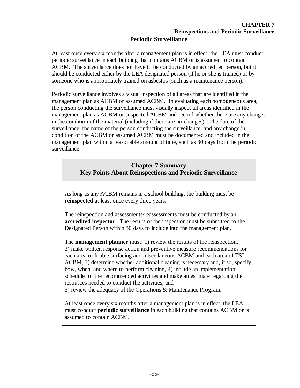# **Periodic Surveillance**

At least once every six months after a management plan is in effect, the LEA must conduct periodic surveillance in each building that contains ACBM or is assumed to contain ACBM. The surveillance does not have to be conducted by an accredited person, but it should be conducted either by the LEA designated person (if he or she is trained) or by someone who is appropriately trained on asbestos (such as a maintenance person).

Periodic surveillance involves a visual inspection of all areas that are identified in the management plan as ACBM or assumed ACBM. In evaluating each homogeneous area, the person conducting the surveillance must visually inspect all areas identified in the management plan as ACBM or suspected ACBM and record whether there are any changes in the condition of the material (including if there are no changes). The date of the surveillance, the name of the person conducting the surveillance, and any change in condition of the ACBM or assumed ACBM must be documented and included in the management plan within a reasonable amount of time, such as 30 days from the periodic surveillance.

# **Chapter 7 Summary Key Points About Reinspections and Periodic Surveillance**

As long as any ACBM remains in a school building, the building must be **reinspected** at least once every three years.

The reinspection and assessments/reassessments must be conducted by an **accredited inspector**. The results of the inspection must be submitted to the Designated Person within 30 days to include into the management plan.

The **management planner** must: 1) review the results of the reinspection, 2) make written response action and preventive measure recommendations for each area of friable surfacing and miscellaneous ACBM and each area of TSI ACBM, 3) determine whether additional cleaning is necessary and, if so, specify how, when, and where to perform cleaning, 4) include an implementation schedule for the recommended activities and make an estimate regarding the resources needed to conduct the activities, and

5) review the adequacy of the Operations & Maintenance Program.

At least once every six months after a management plan is in effect, the LEA must conduct **periodic surveillance** in each building that contains ACBM or is assumed to contain ACBM.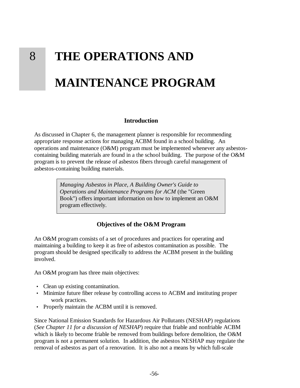# 8 **THE OPERATIONS AND MAINTENANCE PROGRAM**

#### **Introduction**

As discussed in Chapter 6, the management planner is responsible for recommending appropriate response actions for managing ACBM found in a school building. An operations and maintenance (O&M) program must be implemented whenever any asbestoscontaining building materials are found in a the school building. The purpose of the O&M program is to prevent the release of asbestos fibers through careful management of asbestos-containing building materials.

> *Managing Asbestos in Place, A Building Owner's Guide to Operations and Maintenance Programs for ACM* (the "Green Book") offers important information on how to implement an O&M program effectively.

# **Objectives of the O&M Program**

An O&M program consists of a set of procedures and practices for operating and maintaining a building to keep it as free of asbestos contamination as possible. The program should be designed specifically to address the ACBM present in the building involved.

An O&M program has three main objectives:

- Clean up existing contamination.
- Minimize future fiber release by controlling access to ACBM and instituting proper work practices.
- Properly maintain the ACBM until it is removed.

Since National Emission Standards for Hazardous Air Pollutants (NESHAP) regulations (*See Chapter 11 for a discussion of NESHAP*) require that friable and nonfriable ACBM which is likely to become friable be removed from buildings before demolition, the O&M program is not a permanent solution. In addition, the asbestos NESHAP may regulate the removal of asbestos as part of a renovation. It is also not a means by which full-scale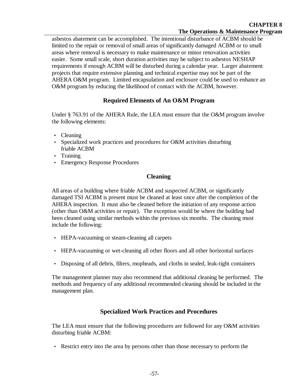asbestos abatement can be accomplished. The intentional disturbance of ACBM should be limited to the repair or removal of small areas of significantly damaged ACBM or to small areas where removal is necessary to make maintenance or minor renovation activities easier. Some small scale, short duration activities may be subject to asbestos NESHAP requirements if enough ACBM will be disturbed during a calendar year. Larger abatement projects that require extensive planning and technical expertise may not be part of the AHERA O&M program. Limited encapsulation and enclosure could be used to enhance an O&M program by reducing the likelihood of contact with the ACBM, however.

# **Required Elements of An O&M Program**

Under § 763.91 of the AHERA Rule, the LEA must ensure that the O&M program involve the following elements:

- Cleaning
- Specialized work practices and procedures for O&M activities disturbing friable ACBM
- Training
- Emergency Response Procedures

# **Cleaning**

All areas of a building where friable ACBM and suspected ACBM, or significantly damaged TSI ACBM is present must be cleaned at least once after the completion of the AHERA inspection. It must also be cleaned before the initiation of any response action (other than O&M activities or repair). The exception would be where the building had been cleaned using similar methods within the previous six months. The cleaning must include the following:

- HEPA-vacuuming or steam-cleaning all carpets
- HEPA-vacuuming or wet-cleaning all other floors and all other horizontal surfaces
- Disposing of all debris, filters, mopheads, and cloths in sealed, leak-tight containers

The management planner may also recommend that additional cleaning be performed. The methods and frequency of any additional recommended cleaning should be included in the management plan.

# **Specialized Work Practices and Procedures**

The LEA must ensure that the following procedures are followed for any O&M activities disturbing friable ACBM:

• Restrict entry into the area by persons other than those necessary to perform the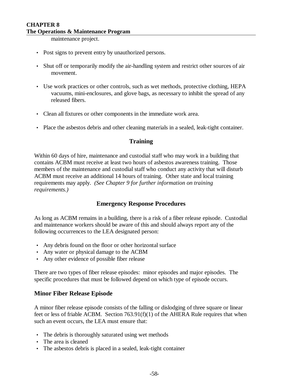# **CHAPTER 8 The Operations & Maintenance Program**

maintenance project.

- Post signs to prevent entry by unauthorized persons.
- Shut off or temporarily modify the air-handling system and restrict other sources of air movement.
- Use work practices or other controls, such as wet methods, protective clothing, HEPA vacuums, mini-enclosures, and glove bags, as necessary to inhibit the spread of any released fibers.
- Clean all fixtures or other components in the immediate work area.
- Place the asbestos debris and other cleaning materials in a sealed, leak-tight container.

#### **Training**

Within 60 days of hire, maintenance and custodial staff who may work in a building that contains ACBM must receive at least two hours of asbestos awareness training. Those members of the maintenance and custodial staff who conduct any activity that will disturb ACBM must receive an additional 14 hours of training. Other state and local training requirements may apply. *(See Chapter 9 for further information on training requirements.)* 

#### **Emergency Response Procedures**

As long as ACBM remains in a building, there is a risk of a fiber release episode. Custodial and maintenance workers should be aware of this and should always report any of the following occurrences to the LEA designated person:

- Any debris found on the floor or other horizontal surface
- Any water or physical damage to the ACBM
- Any other evidence of possible fiber release

There are two types of fiber release episodes: minor episodes and major episodes. The specific procedures that must be followed depend on which type of episode occurs.

#### **Minor Fiber Release Episode**

A minor fiber release episode consists of the falling or dislodging of three square or linear feet or less of friable ACBM. Section 763.91(f)(1) of the AHERA Rule requires that when such an event occurs, the LEA must ensure that:

- The debris is thoroughly saturated using wet methods
- The area is cleaned
- The asbestos debris is placed in a sealed, leak-tight container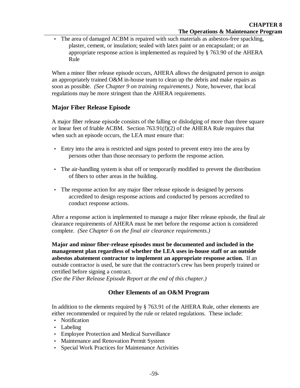• The area of damaged ACBM is repaired with such materials as asbestos-free spackling, plaster, cement, or insulation; sealed with latex paint or an encapsulant; or an appropriate response action is implemented as required by § 763.90 of the AHERA Rule

When a minor fiber release episode occurs, AHERA allows the designated person to assign an appropriately trained O&M in-house team to clean up the debris and make repairs as soon as possible. *(See Chapter 9 on training requirements.)* Note, however, that local regulations may be more stringent than the AHERA requirements.

# **Major Fiber Release Episode**

A major fiber release episode consists of the falling or dislodging of more than three square or linear feet of friable ACBM. Section 763.91(f)(2) of the AHERA Rule requires that when such an episode occurs, the LEA must ensure that:

- Entry into the area is restricted and signs posted to prevent entry into the area by persons other than those necessary to perform the response action.
- The air-handling system is shut off or temporarily modified to prevent the distribution of fibers to other areas in the building.
- The response action for any major fiber release episode is designed by persons accredited to design response actions and conducted by persons accredited to conduct response actions.

After a response action is implemented to manage a major fiber release episode, the final air clearance requirements of AHERA must be met before the response action is considered complete. *(See Chapter 6 on the final air clearance requirements.)* 

**Major and minor fiber-release episodes must be documented and included in the management plan regardless of whether the LEA uses in-house staff or an outside asbestos abatement contractor to implement an appropriate response action.** If an outside contractor is used, be sure that the contractor's crew has been properly trained or certified before signing a contract.

*(See the Fiber Release Episode Report at the end of this chapter.)* 

# **Other Elements of an O&M Program**

In addition to the elements required by § 763.91 of the AHERA Rule, other elements are either recommended or required by the rule or related regulations. These include:

- Notification
- Labeling
- Employee Protection and Medical Surveillance
- Maintenance and Renovation Permit System
- Special Work Practices for Maintenance Activities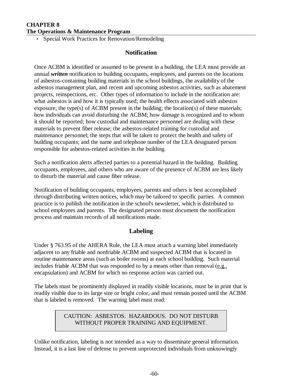#### **CHAPTER 8 The Operations & Maintenance Program**

• Special Work Practices for Renovation/Remodeling

# **Notification**

Once ACBM is identified or assumed to be present in a building, the LEA must provide an annual *written* notification to building occupants, employees, and parents on the locations of asbestos-containing building materials in the school buildings, the availability of the asbestos management plan, and recent and upcoming asbestos activities, such as abatement projects, reinspections, etc. Other types of information to include in the notification are: what asbestos is and how it is typically used; the health effects associated with asbestos exposure; the type(s) of ACBM present in the building; the location(s) of these materials; how individuals can avoid disturbing the ACBM; how damage is recognized and to whom it should be reported; how custodial and maintenance personnel are dealing with these materials to prevent fiber release; the asbestos-related training for custodial and maintenance personnel; the steps that will be taken to protect the health and safety of building occupants; and the name and telephone number of the LEA designated person responsible for asbestos-related activities in the building.

Such a notification alerts affected parties to a potential hazard in the building. Building occupants, employees, and others who are aware of the presence of ACBM are less likely to disturb the material and cause fiber release.

Notification of building occupants, employees, parents and others is best accomplished through distributing written notices, which may be tailored to specific parties. A common practice is to publish the notification in the school's newsletter, which is distributed to school employees and parents. The designated person must document the notification process and maintain records of all notifications made.

#### **Labeling**

Under § 763.95 of the AHERA Rule, the LEA must attach a warning label immediately adjacent to any friable and nonfriable ACBM and suspected ACBM that is located in routine maintenance areas (such as boiler rooms) at each school building. Such material includes friable ACBM that was responded to by a means other than removal (e.g., encapsulation) and ACBM for which no response action was carried out.

The labels must be prominently displayed in readily visible locations, must be in print that is readily visible due to its large size or bright color, and must remain posted until the ACBM that is labeled is removed. The warning label must read:

# CAUTION: ASBESTOS. HAZARDOUS. DO NOT DISTURB WITHOUT PROPER TRAINING AND EQUIPMENT.

Unlike notification, labeling is not intended as a way to disseminate general information. Instead, it is a last line of defense to prevent unprotected individuals from unknowingly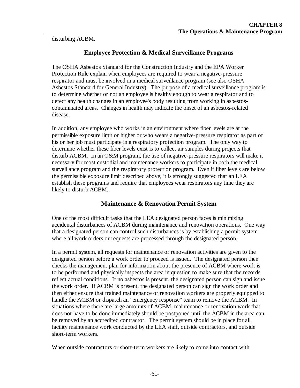disturbing ACBM.

## **Employee Protection & Medical Surveillance Programs**

The OSHA Asbestos Standard for the Construction Industry and the EPA Worker Protection Rule explain when employees are required to wear a negative-pressure respirator and must be involved in a medical surveillance program (see also OSHA Asbestos Standard for General Industry). The purpose of a medical surveillance program is to determine whether or not an employee is healthy enough to wear a respirator and to detect any health changes in an employee's body resulting from working in asbestoscontaminated areas. Changes in health may indicate the onset of an asbestos-related disease.

In addition, any employee who works in an environment where fiber levels are at the permissible exposure limit or higher or who wears a negative-pressure respirator as part of his or her job must participate in a respiratory protection program. The only way to determine whether these fiber levels exist is to collect air samples during projects that disturb ACBM. In an O&M program, the use of negative-pressure respirators will make it necessary for most custodial and maintenance workers to participate in both the medical surveillance program and the respiratory protection program. Even if fiber levels are below the permissible exposure limit described above, it is strongly suggested that an LEA establish these programs and require that employees wear respirators any time they are likely to disturb ACBM.

# **Maintenance & Renovation Permit System**

One of the most difficult tasks that the LEA designated person faces is minimizing accidental disturbances of ACBM during maintenance and renovation operations. One way that a designated person can control such disturbances is by establishing a permit system where all work orders or requests are processed through the designated person.

In a permit system, all requests for maintenance or renovation activities are given to the designated person before a work order to proceed is issued. The designated person then checks the management plan for information about the presence of ACBM where work is to be performed and physically inspects the area in question to make sure that the records reflect actual conditions. If no asbestos is present, the designated person can sign and issue the work order. If ACBM is present, the designated person can sign the work order and then either ensure that trained maintenance or renovation workers are properly equipped to handle the ACBM or dispatch an "emergency response" team to remove the ACBM. In situations where there are large amounts of ACBM, maintenance or renovation work that does not have to be done immediately should be postponed until the ACBM in the area can be removed by an accredited contractor. The permit system should be in place for all facility maintenance work conducted by the LEA staff, outside contractors, and outside short-term workers.

When outside contractors or short-term workers are likely to come into contact with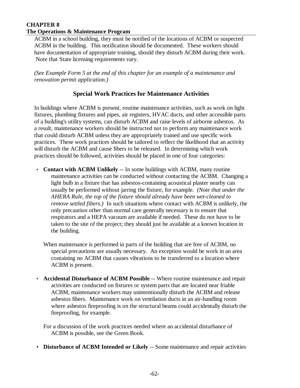#### **CHAPTER 8 The Operations & Maintenance Program**

ACBM in a school building, they must be notified of the locations of ACBM or suspected ACBM in the building. This notification should be documented. These workers should have documentation of appropriate training, should they disturb ACBM during their work. Note that State licensing requirements vary.

*(See Example Form 5 at the end of this chapter for an example of a maintenance and renovation permit application.)* 

#### **Special Work Practices for Maintenance Activities**

In buildings where ACBM is present, routine maintenance activities, such as work on light fixtures, plumbing fixtures and pipes, air registers, HVAC ducts, and other accessible parts of a building's utility systems, can disturb ACBM and raise levels of airborne asbestos. As a result, maintenance workers should be instructed not to perform any maintenance work that could disturb ACBM unless they are appropriately trained and use specific work practices. These work practices should be tailored to reflect the likelihood that an activity will disturb the ACBM and cause fibers to be released. In determining which work practices should be followed, activities should be placed in one of four categories:

- **Contact with ACBM Unlikely** -- In some buildings with ACBM, many routine maintenance activities can be conducted without contacting the ACBM. Changing a light bulb in a fixture that has asbestos-containing acoustical plaster nearby can usually be performed without jarring the fixture, for example. *(Note that under the AHERA Rule, the top of the fixture should already have been wet-cleaned to remove settled fibers.)* In such situations where contact with ACBM is unlikely, the only precaution other than normal care generally necessary is to ensure that respirators and a HEPA vacuum are available if needed. These do not have to be taken to the site of the project; they should just be available at a known location in the building.
	- When maintenance is performed in parts of the building that are free of ACBM, no special precautions are usually necessary. An exception would be work in an area containing no ACBM that causes vibrations to be transferred to a location where ACBM is present.
- **Accidental Disturbance of ACBM Possible** -- Where routine maintenance and repair activities are conducted on fixtures or system parts that are located near friable ACBM, maintenance workers may unintentionally disturb the ACBM and release asbestos fibers. Maintenance work on ventilation ducts in an air-handling room where asbestos fireproofing is on the structural beams could accidentally disturb the fireproofing, for example.
	- For a discussion of the work practices needed where an accidental disturbance of ACBM is possible, see the Green Book.
- **Disturbance of ACBM Intended or Likely** -- Some maintenance and repair activities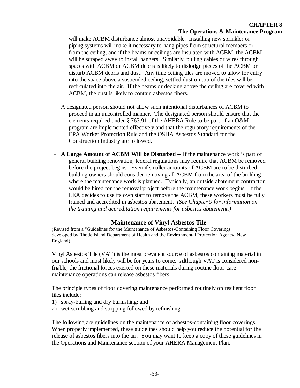will make ACBM disturbance almost unavoidable. Installing new sprinkler or piping systems will make it necessary to hang pipes from structural members or from the ceiling, and if the beams or ceilings are insulated with ACBM, the ACBM will be scraped away to install hangers. Similarly, pulling cables or wires through spaces with ACBM or ACBM debris is likely to dislodge pieces of the ACBM or disturb ACBM debris and dust. Any time ceiling tiles are moved to allow for entry into the space above a suspended ceiling, settled dust on top of the tiles will be recirculated into the air. If the beams or decking above the ceiling are covered with ACBM, the dust is likely to contain asbestos fibers.

- A designated person should not allow such intentional disturbances of ACBM to proceed in an uncontrolled manner. The designated person should ensure that the elements required under § 763.91 of the AHERA Rule to be part of an O&M program are implemented effectively and that the regulatory requirements of the EPA Worker Protection Rule and the OSHA Asbestos Standard for the Construction Industry are followed.
- **A Large Amount of ACBM Will be Disturbed** -- If the maintenance work is part of general building renovation, federal regulations may require that ACBM be removed before the project begins. Even if smaller amounts of ACBM are to be disturbed, building owners should consider removing all ACBM from the area of the building where the maintenance work is planned. Typically, an outside abatement contractor would be hired for the removal project before the maintenance work begins. If the LEA decides to use its own staff to remove the ACBM, these workers must be fully trained and accredited in asbestos abatement. *(See Chapter 9 for information on the training and accreditation requirements for asbestos abatement.)*

#### **Maintenance of Vinyl Asbestos Tile**

(Revised from a "Guidelines for the Maintenance of Asbestos-Containing Floor Coverings" developed by Rhode Island Department of Health and the Environmental Protection Agency, New England)

Vinyl Asbestos Tile (VAT) is the most prevalent source of asbestos containing material in our schools and most likely will be for years to come. Although VAT is considered nonfriable, the frictional forces exerted on these materials during routine floor-care maintenance operations can release asbestos fibers.

The principle types of floor covering maintenance performed routinely on resilient floor tiles include:

- 1) spray-buffing and dry burnishing; and
- 2) wet scrubbing and stripping followed by refinishing.

The following are guidelines on the maintenance of asbestos-containing floor coverings. When properly implemented, these guidelines should help you reduce the potential for the release of asbestos fibers into the air. You may want to keep a copy of these guidelines in the Operations and Maintenance section of your AHERA Management Plan.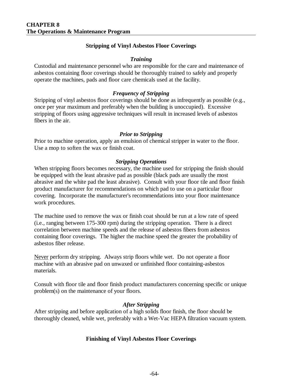#### **Stripping of Vinyl Asbestos Floor Coverings**

#### *Training*

Custodial and maintenance personnel who are responsible for the care and maintenance of asbestos containing floor coverings should be thoroughly trained to safely and properly operate the machines, pads and floor care chemicals used at the facility.

#### *Frequency of Stripping*

Stripping of vinyl asbestos floor coverings should be done as infrequently as possible (e.g., once per year maximum and preferably when the building is unoccupied). Excessive stripping of floors using aggressive techniques will result in increased levels of asbestos fibers in the air.

#### *Prior to Stripping*

Prior to machine operation, apply an emulsion of chemical stripper in water to the floor. Use a mop to soften the wax or finish coat.

#### *Stripping Operations*

When stripping floors becomes necessary, the machine used for stripping the finish should be equipped with the least abrasive pad as possible (black pads are usually the most abrasive and the white pad the least abrasive). Consult with your floor tile and floor finish product manufacturer for recommendations on which pad to use on a particular floor covering. Incorporate the manufacturer's recommendations into your floor maintenance work procedures.

The machine used to remove the wax or finish coat should be run at a low rate of speed (i.e., ranging between 175-300 rpm) during the stripping operation. There is a direct correlation between machine speeds and the release of asbestos fibers from asbestos containing floor coverings. The higher the machine speed the greater the probability of asbestos fiber release.

Never perform dry stripping. Always strip floors while wet. Do not operate a floor machine with an abrasive pad on unwaxed or unfinished floor containing-asbestos materials.

Consult with floor tile and floor finish product manufacturers concerning specific or unique problem(s) on the maintenance of your floors.

#### *After Stripping*

After stripping and before application of a high solids floor finish, the floor should be thoroughly cleaned, while wet, preferably with a Wet-Vac HEPA filtration vacuum system.

#### **Finishing of Vinyl Asbestos Floor Coverings**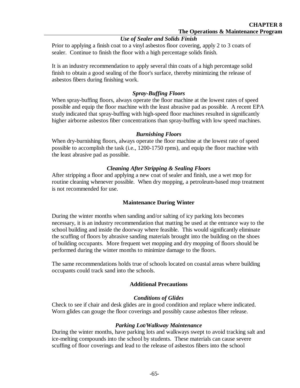#### *Use of Sealer and Solids Finish*

Prior to applying a finish coat to a vinyl asbestos floor covering, apply 2 to 3 coats of sealer. Continue to finish the floor with a high percentage solids finish.

It is an industry recommendation to apply several thin coats of a high percentage solid finish to obtain a good sealing of the floor's surface, thereby minimizing the release of asbestos fibers during finishing work.

#### *Spray-Buffing Floors*

When spray-buffing floors, always operate the floor machine at the lowest rates of speed possible and equip the floor machine with the least abrasive pad as possible. A recent EPA study indicated that spray-buffing with high-speed floor machines resulted in significantly higher airborne asbestos fiber concentrations than spray-buffing with low speed machines.

#### *Burnishing Floors*

When dry-burnishing floors, always operate the floor machine at the lowest rate of speed possible to accomplish the task (i.e., 1200-1750 rpms), and equip the floor machine with the least abrasive pad as possible.

#### *Cleaning After Stripping & Sealing Floors*

After stripping a floor and applying a new coat of sealer and finish, use a wet mop for routine cleaning whenever possible. When dry mopping, a petroleum-based mop treatment is not recommended for use.

#### **Maintenance During Winter**

During the winter months when sanding and/or salting of icy parking lots becomes necessary, it is an industry recommendation that matting be used at the entrance way to the school building and inside the doorway where feasible. This would significantly eliminate the scuffing of floors by abrasive sanding materials brought into the building on the shoes of building occupants. More frequent wet mopping and dry mopping of floors should be performed during the winter months to minimize damage to the floors.

The same recommendations holds true of schools located on coastal areas where building occupants could track sand into the schools.

#### **Additional Precautions**

#### *Conditions of Glides*

Check to see if chair and desk glides are in good condition and replace where indicated. Worn glides can gouge the floor coverings and possibly cause asbestos fiber release.

#### *Parking Lot/Walkway Maintenance*

During the winter months, have parking lots and walkways swept to avoid tracking salt and ice-melting compounds into the school by students. These materials can cause severe scuffing of floor coverings and lead to the release of asbestos fibers into the school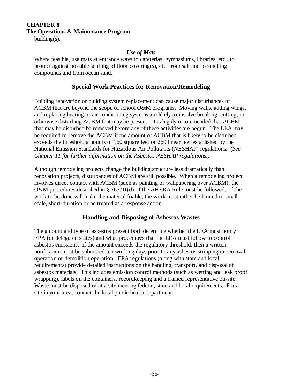#### **CHAPTER 8 The Operations & Maintenance Program**

 $building(s)$ .

#### *Use of Mats*

Where feasible, use mats at entrance ways to cafeterias, gymnasiums, libraries, etc., to protect against possible scuffing of floor covering(s), etc. from salt and ice-melting compounds and from ocean sand.

### **Special Work Practices for Renovation/Remodeling**

Building renovation or building system replacement can cause major disturbances of ACBM that are beyond the scope of school O&M programs. Moving walls, adding wings, and replacing heating or air conditioning systems are likely to involve breaking, cutting, or otherwise disturbing ACBM that may be present. It is highly recommended that ACBM that may be disturbed be removed before any of these activities are begun. The LEA may be required to remove the ACBM if the amount of ACBM that is likely to be disturbed exceeds the threshold amounts of 160 square feet or 260 linear feet established by the National Emission Standards for Hazardous Air Pollutants (NESHAP) regulations. *(See Chapter 11 for further information on the Asbestos NESHAP regulations.)* 

Although remodeling projects change the building structure less dramatically than renovation projects, disturbances of ACBM are still possible. When a remodeling project involves direct contact with ACBM (such as painting or wallpapering over ACBM), the O&M procedures described in § 763.91(d) of the AHERA Rule must be followed. If the work to be done will make the material friable, the work must either be limited to smallscale, short-duration or be treated as a response action.

# **Handling and Disposing of Asbestos Wastes**

The amount and type of asbestos present both determine whether the LEA must notify EPA (or delegated states) and what procedures that the LEA must follow to control asbestos emissions. If the amount exceeds the regulatory threshold, then a written notification must be submitted ten working days prior to any asbestos stripping or removal operation or demolition operation. EPA regulations (along with state and local requirements) provide detailed instructions on the handling, transport, and disposal of asbestos materials. This includes emission control methods (such as wetting and leak proof wrapping), labels on the containers, recordkeeping and a trained representative on-site. Waste must be disposed of at a site meeting federal, state and local requirements. For a site in your area, contact the local public health department.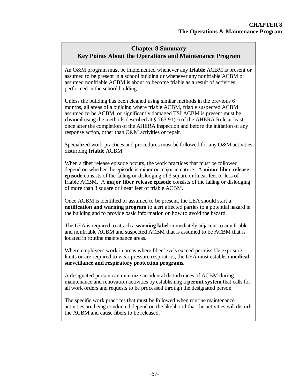#### **Chapter 8 Summary Key Points About the Operations and Maintenance Program**

An O&M program must be implemented whenever any **friable** ACBM is present or assumed to be present in a school building or whenever any nonfriable ACBM or assumed nonfriable ACBM is about to become friable as a result of activities performed in the school building.

Unless the building has been cleaned using similar methods in the previous 6 months, all areas of a building where friable ACBM, friable suspected ACBM assumed to be ACBM, or significantly damaged TSI ACBM is present must be **cleaned** using the methods described at § 763.91(c) of the AHERA Rule at least once after the completion of the AHERA inspection and before the initiation of any response action, other than O&M activities or repair.

Specialized work practices and procedures must be followed for any O&M activities disturbing **friable** ACBM.

When a fiber release episode occurs, the work practices that must be followed depend on whether the episode is minor or major in nature. A **minor fiber release episode** consists of the falling or dislodging of 3 square or linear feet or less of friable ACBM. A **major fiber release episode** consists of the falling or dislodging of more than 3 square or linear feet of friable ACBM.

Once ACBM is identified or assumed to be present, the LEA should start a **notification and warning program** to alert affected parties to a potential hazard in the building and to provide basic information on how to avoid the hazard.

The LEA is required to attach a **warning label** immediately adjacent to any friable and nonfriable ACBM and suspected ACBM that is assumed to be ACBM that is located in routine maintenance areas.

Where employees work in areas where fiber levels exceed permissible exposure limits or are required to wear pressure respirators, the LEA must establish **medical surveillance and respiratory protection programs.** 

A designated person can minimize accidental disturbances of ACBM during maintenance and renovation activities by establishing a **permit system** that calls for all work orders and requests to be processed through the designated person.

The specific work practices that must be followed when routine maintenance activities are being conducted depend on the likelihood that the activities will disturb the ACBM and cause fibers to be released.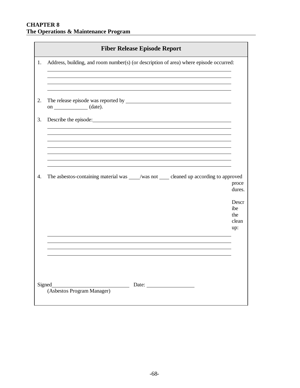| <b>Fiber Release Episode Report</b> |                                                                                         |                            |
|-------------------------------------|-----------------------------------------------------------------------------------------|----------------------------|
| 1.                                  | Address, building, and room number(s) (or description of area) where episode occurred:  |                            |
| 2.                                  |                                                                                         |                            |
| 3.                                  | Describe the episode:                                                                   |                            |
| 4.                                  | The asbestos-containing material was ____/was not ____ cleaned up according to approved | proce<br>dures.<br>Descr   |
|                                     |                                                                                         | ibe<br>the<br>clean<br>up: |
|                                     | Signed<br>(Asbestos Program Manager)                                                    |                            |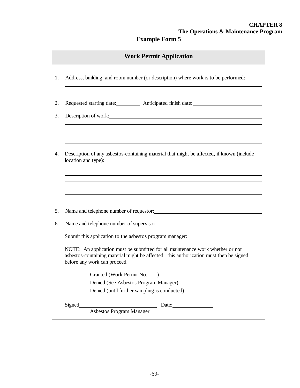#### **Example Form 5**

|          | <b>Work Permit Application</b>                                                                                                                                                                           |  |  |
|----------|----------------------------------------------------------------------------------------------------------------------------------------------------------------------------------------------------------|--|--|
| 1.       | Address, building, and room number (or description) where work is to be performed:                                                                                                                       |  |  |
| 2.<br>3. | Requested starting date: Anticipated finish date:<br>Description of work:                                                                                                                                |  |  |
|          |                                                                                                                                                                                                          |  |  |
| 4.       | Description of any asbestos-containing material that might be affected, if known (include<br>location and type):                                                                                         |  |  |
|          |                                                                                                                                                                                                          |  |  |
| 5.       | Name and telephone number of requestor:                                                                                                                                                                  |  |  |
| 6.       |                                                                                                                                                                                                          |  |  |
|          | Submit this application to the asbestos program manager:                                                                                                                                                 |  |  |
|          | NOTE: An application must be submitted for all maintenance work whether or not<br>asbestos-containing material might be affected. this authorization must then be signed<br>before any work can proceed. |  |  |
|          | Granted (Work Permit No. )                                                                                                                                                                               |  |  |
|          | Denied (See Asbestos Program Manager)                                                                                                                                                                    |  |  |
|          | Denied (until further sampling is conducted)                                                                                                                                                             |  |  |
|          | Signed<br>Date:                                                                                                                                                                                          |  |  |
|          | <b>Asbestos Program Manager</b>                                                                                                                                                                          |  |  |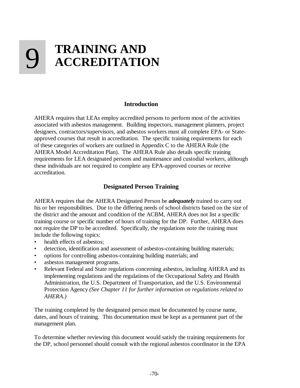# 9 **TRAINING AND ACCREDITATION**

#### **Introduction**

AHERA requires that LEAs employ accredited persons to perform most of the activities associated with asbestos management. Building inspectors, management planners, project designers, contractors/supervisors, and asbestos workers must all complete EPA- or Stateapproved courses that result in accreditation. The specific training requirements for each of these categories of workers are outlined in Appendix C to the AHERA Rule (the AHERA Model Accreditation Plan). The AHERA Rule also details specific training requirements for LEA designated persons and maintenance and custodial workers, although these individuals are not required to complete any EPA-approved courses or receive accreditation.

## **Designated Person Training**

AHERA requires that the AHERA Designated Person be *adequately* trained to carry out his or her responsibilities. Due to the differing needs of school districts based on the size of the district and the amount and condition of the ACBM, AHERA does not list a specific training course or specific number of hours of training for the DP. Further, AHERA does not require the DP to be accredited. Specifically, the regulations note the training must include the following topics:

- health effects of asbestos;
- detection, identification and assessment of asbestos-containing building materials;
- options for controlling asbestos-containing building materials; and
- asbestos management programs.
- Relevant Federal and State regulations concerning asbestos, including AHERA and its implementing regulations and the regulations of the Occupational Safety and Health Administration, the U.S. Department of Transportation, and the U.S. Environmental Protection Agency *(See Chapter 11 for further information on regulations related to AHERA.)*

The training completed by the designated person must be documented by course name, dates, and hours of training. This documentation must be kept as a permanent part of the management plan.

To determine whether reviewing this document would satisfy the training requirements for the DP, school personnel should consult with the regional asbestos coordinator in the EPA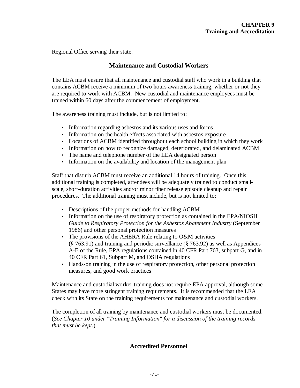Regional Office serving their state.

## **Maintenance and Custodial Workers**

The LEA must ensure that all maintenance and custodial staff who work in a building that contains ACBM receive a minimum of two hours awareness training, whether or not they are required to work with ACBM. New custodial and maintenance employees must be trained within 60 days after the commencement of employment.

The awareness training must include, but is not limited to:

- Information regarding asbestos and its various uses and forms
- Information on the health effects associated with asbestos exposure
- Locations of ACBM identified throughout each school building in which they work
- Information on how to recognize damaged, deteriorated, and delaminated ACBM
- The name and telephone number of the LEA designated person
- Information on the availability and location of the management plan

Staff that disturb ACBM must receive an additional 14 hours of training. Once this additional training is completed, attendees will be adequately trained to conduct smallscale, short-duration activities and/or minor fiber release episode cleanup and repair procedures. The additional training must include, but is not limited to:

- Descriptions of the proper methods for handling ACBM
- Information on the use of respiratory protection as contained in the EPA/NIOSH *Guide to Respiratory Protection for the Asbestos Abatement Industry* (September 1986) and other personal protection measures
- The provisions of the AHERA Rule relating to O&M activities (§ 763.91) and training and periodic surveillance (§ 763.92) as well as Appendices A-E of the Rule, EPA regulations contained in 40 CFR Part 763, subpart G, and in 40 CFR Part 61, Subpart M, and OSHA regulations
- Hands-on training in the use of respiratory protection, other personal protection measures, and good work practices

Maintenance and custodial worker training does not require EPA approval, although some States may have more stringent training requirements. It is recommended that the LEA check with its State on the training requirements for maintenance and custodial workers.

The completion of all training by maintenance and custodial workers must be documented. (*See Chapter 10 under "Training Information" for a discussion of the training records that must be kept*.)

# **Accredited Personnel**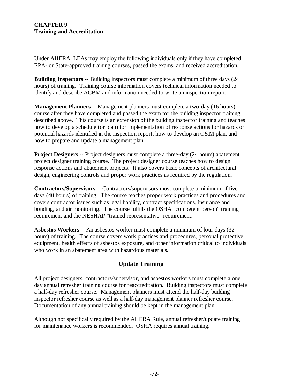Under AHERA, LEAs may employ the following individuals only if they have completed EPA- or State-approved training courses, passed the exams, and received accreditation.

**Building Inspectors** -- Building inspectors must complete a minimum of three days (24 hours) of training. Training course information covers technical information needed to identify and describe ACBM and information needed to write an inspection report.

**Management Planners** -- Management planners must complete a two-day (16 hours) course after they have completed and passed the exam for the building inspector training described above. This course is an extension of the building inspector training and teaches how to develop a schedule (or plan) for implementation of response actions for hazards or potential hazards identified in the inspection report, how to develop an O&M plan, and how to prepare and update a management plan.

**Project Designers** -- Project designers must complete a three-day (24 hours) abatement project designer training course. The project designer course teaches how to design response actions and abatement projects. It also covers basic concepts of architectural design, engineering controls and proper work practices as required by the regulation.

**Contractors/Supervisors** -- Contractors/supervisors must complete a minimum of five days (40 hours) of training. The course teaches proper work practices and procedures and covers contractor issues such as legal liability, contract specifications, insurance and bonding, and air monitoring. The course fulfills the OSHA "competent person" training requirement and the NESHAP "trained representative" requirement.

**Asbestos Workers** -- An asbestos worker must complete a minimum of four days (32 hours) of training. The course covers work practices and procedures, personal protective equipment, health effects of asbestos exposure, and other information critical to individuals who work in an abatement area with hazardous materials.

# **Update Training**

All project designers, contractors/supervisor, and asbestos workers must complete a one day annual refresher training course for reaccreditation. Building inspectors must complete a half-day refresher course. Management planners must attend the half-day building inspector refresher course as well as a half-day management planner refresher course. Documentation of any annual training should be kept in the management plan.

Although not specifically required by the AHERA Rule, annual refresher/update training for maintenance workers is recommended. OSHA requires annual training.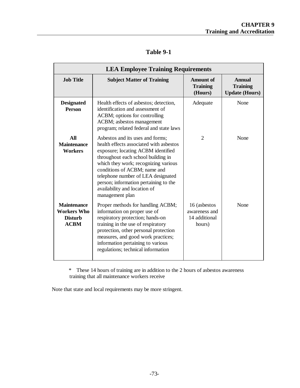# **Table 9-1**

| <b>LEA Employee Training Requirements</b>                                 |                                                                                                                                                                                                                                                                                                                                                                   |                                                          |                                                           |
|---------------------------------------------------------------------------|-------------------------------------------------------------------------------------------------------------------------------------------------------------------------------------------------------------------------------------------------------------------------------------------------------------------------------------------------------------------|----------------------------------------------------------|-----------------------------------------------------------|
| <b>Job Title</b>                                                          | <b>Subject Matter of Training</b>                                                                                                                                                                                                                                                                                                                                 | <b>Amount of</b><br><b>Training</b><br>(Hours)           | <b>Annual</b><br><b>Training</b><br><b>Update (Hours)</b> |
| <b>Designated</b><br><b>Person</b>                                        | Health effects of asbestos; detection,<br>identification and assessment of<br>ACBM; options for controlling<br>ACBM; asbestos management<br>program; related federal and state laws                                                                                                                                                                               | Adequate                                                 | None                                                      |
| All<br><b>Maintenance</b><br><b>Workers</b>                               | Asbestos and its uses and forms;<br>health effects associated with asbestos<br>exposure; locating ACBM identified<br>throughout each school building in<br>which they work; recognizing various<br>conditions of ACBM; name and<br>telephone number of LEA designated<br>person; information pertaining to the<br>availability and location of<br>management plan | $\overline{2}$                                           | None                                                      |
| <b>Maintenance</b><br><b>Workers Who</b><br><b>Disturb</b><br><b>ACBM</b> | Proper methods for handling ACBM;<br>information on proper use of<br>respiratory protection; hands-on<br>training in the use of respiratory<br>protection, other personal protection<br>measures, and good work practices;<br>information pertaining to various<br>regulations; technical information                                                             | 16 (asbestos<br>awareness and<br>14 additional<br>hours) | None                                                      |

\* These 14 hours of training are in addition to the 2 hours of asbestos awareness training that all maintenance workers receive

Note that state and local requirements may be more stringent.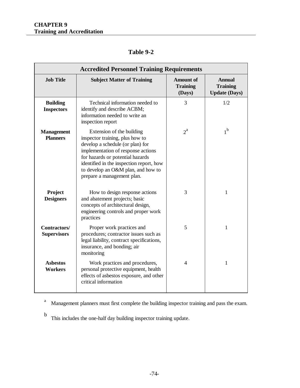| Table 9-2 |  |
|-----------|--|
|-----------|--|

| <b>Accredited Personnel Training Requirements</b> |                                                                                                                                                                                                                                                                                            |                                               |                                                          |
|---------------------------------------------------|--------------------------------------------------------------------------------------------------------------------------------------------------------------------------------------------------------------------------------------------------------------------------------------------|-----------------------------------------------|----------------------------------------------------------|
| <b>Job Title</b>                                  | <b>Subject Matter of Training</b>                                                                                                                                                                                                                                                          | <b>Amount of</b><br><b>Training</b><br>(Days) | <b>Annual</b><br><b>Training</b><br><b>Update (Days)</b> |
| <b>Building</b><br><b>Inspectors</b>              | Technical information needed to<br>identify and describe ACBM;<br>information needed to write an<br>inspection report                                                                                                                                                                      | 3                                             | 1/2                                                      |
| <b>Management</b><br><b>Planners</b>              | Extension of the building<br>inspector training, plus how to<br>develop a schedule (or plan) for<br>implementation of response actions<br>for hazards or potential hazards<br>identified in the inspection report, how<br>to develop an O&M plan, and how to<br>prepare a management plan. | $2^{\mathrm{a}}$                              | $1^{\rm b}$                                              |
| Project<br><b>Designers</b>                       | How to design response actions<br>and abatement projects; basic<br>concepts of architectural design,<br>engineering controls and proper work<br>practices                                                                                                                                  | 3                                             | 1                                                        |
| Contractors/<br><b>Supervisors</b>                | Proper work practices and<br>procedures; contractor issues such as<br>legal liability, contract specifications,<br>insurance, and bonding; air<br>monitoring                                                                                                                               | 5                                             | 1                                                        |
| <b>Asbestos</b><br><b>Workers</b>                 | Work practices and procedures,<br>personal protective equipment, health<br>effects of asbestos exposure, and other<br>critical information                                                                                                                                                 | 4                                             | 1                                                        |

<sup>a</sup> Management planners must first complete the building inspector training and pass the exam.

b This includes the one-half day building inspector training update.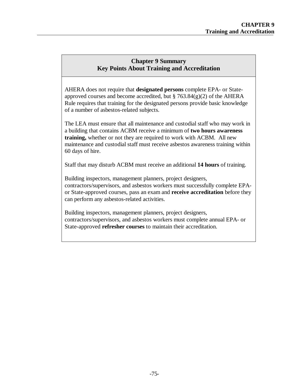# **Chapter 9 Summary Key Points About Training and Accreditation**

AHERA does not require that **designated persons** complete EPA- or Stateapproved courses and become accredited, but  $\S$  763.84(g)(2) of the AHERA Rule requires that training for the designated persons provide basic knowledge of a number of asbestos-related subjects.

The LEA must ensure that all maintenance and custodial staff who may work in a building that contains ACBM receive a minimum of **two hours awareness training,** whether or not they are required to work with ACBM. All new maintenance and custodial staff must receive asbestos awareness training within 60 days of hire.

Staff that may disturb ACBM must receive an additional **14 hours** of training.

Building inspectors, management planners, project designers, contractors/supervisors, and asbestos workers must successfully complete EPAor State-approved courses, pass an exam and **receive accreditation** before they can perform any asbestos-related activities.

Building inspectors, management planners, project designers, contractors/supervisors, and asbestos workers must complete annual EPA- or State-approved **refresher courses** to maintain their accreditation.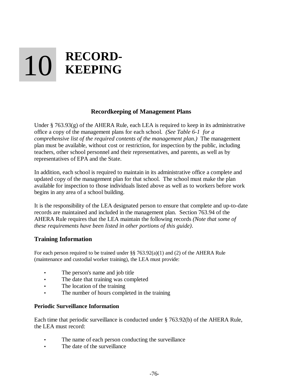# 10 **RECORD-KEEPING**

# **Recordkeeping of Management Plans**

Under  $\S$  763.93(g) of the AHERA Rule, each LEA is required to keep in its administrative office a copy of the management plans for each school. *(See Table 6-1 for a comprehensive list of the required contents of the management plan.)* The management plan must be available, without cost or restriction, for inspection by the public, including teachers, other school personnel and their representatives, and parents, as well as by representatives of EPA and the State.

In addition, each school is required to maintain in its administrative office a complete and updated copy of the management plan for that school. The school must make the plan available for inspection to those individuals listed above as well as to workers before work begins in any area of a school building.

It is the responsibility of the LEA designated person to ensure that complete and up-to-date records are maintained and included in the management plan. Section 763.94 of the AHERA Rule requires that the LEA maintain the following records *(Note that some of these requirements have been listed in other portions of this guide)*.

# **Training Information**

For each person required to be trained under  $\S$ § 763.92(a)(1) and (2) of the AHERA Rule (maintenance and custodial worker training), the LEA must provide:

- The person's name and job title
- The date that training was completed
- The location of the training
- The number of hours completed in the training

#### **Periodic Surveillance Information**

Each time that periodic surveillance is conducted under § 763.92(b) of the AHERA Rule, the LEA must record:

- The name of each person conducting the surveillance
- The date of the surveillance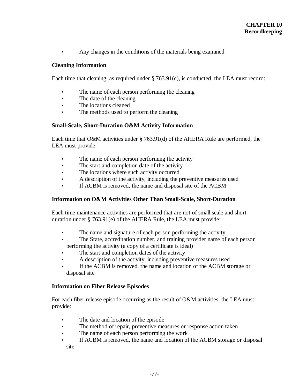• Any changes in the conditions of the materials being examined

#### **Cleaning Information**

Each time that cleaning, as required under  $\S 763.91(c)$ , is conducted, the LEA must record:

- The name of each person performing the cleaning
- The date of the cleaning
- The locations cleaned
- The methods used to perform the cleaning

#### **Small-Scale, Short-Duration O&M Activity Information**

Each time that O&M activities under § 763.91(d) of the AHERA Rule are performed, the LEA must provide:

- The name of each person performing the activity
- The start and completion date of the activity
- The locations where such activity occurred
- A description of the activity, including the preventive measures used
- If ACBM is removed, the name and disposal site of the ACBM

#### **Information on O&M Activities Other Than Small-Scale, Short-Duration**

Each time maintenance activities are performed that are not of small scale and short duration under § 763.91(e) of the AHERA Rule, the LEA must provide:

- The name and signature of each person performing the activity
- The State, accreditation number, and training provider name of each person performing the activity (a copy of a certificate is ideal)
- The start and completion dates of the activity
- A description of the activity, including preventive measures used
- If the ACBM is removed, the name and location of the ACBM storage or disposal site

#### **Information on Fiber Release Episodes**

For each fiber release episode occurring as the result of O&M activities, the LEA must provide:

- The date and location of the episode
- The method of repair, preventive measures or response action taken
- The name of each person performing the work
- If ACBM is removed, the name and location of the ACBM storage or disposal site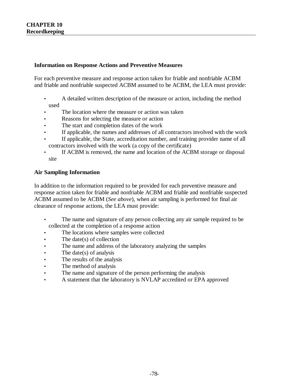#### **Information on Response Actions and Preventive Measures**

For each preventive measure and response action taken for friable and nonfriable ACBM and friable and nonfriable suspected ACBM assumed to be ACBM, the LEA must provide:

- A detailed written description of the measure or action, including the method used
- The location where the measure or action was taken
- Reasons for selecting the measure or action
- The start and completion dates of the work
- If applicable, the names and addresses of all contractors involved with the work
- If applicable, the State, accreditation number, and training provider name of all contractors involved with the work (a copy of the certificate)
- If ACBM is removed, the name and location of the ACBM storage or disposal site

#### **Air Sampling Information**

In addition to the information required to be provided for each preventive measure and response action taken for friable and nonfriable ACBM and friable and nonfriable suspected ACBM assumed to be ACBM (*See above*), when air sampling is performed for final air clearance of response actions, the LEA must provide:

- The name and signature of any person collecting any air sample required to be collected at the completion of a response action
- The locations where samples were collected
- The date(s) of collection
- The name and address of the laboratory analyzing the samples
- The date(s) of analysis
- The results of the analysis
- The method of analysis
- The name and signature of the person performing the analysis
- A statement that the laboratory is NVLAP accredited or EPA approved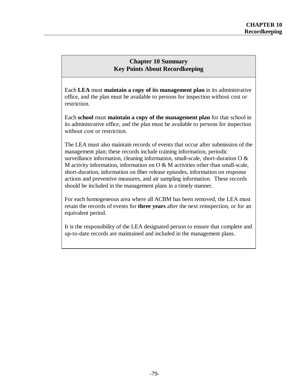## **Chapter 10 Summary Key Points About Recordkeeping**

Each **LEA** must **maintain a copy of its management plan** in its administrative office, and the plan must be available to persons for inspection without cost or restriction.

Each **school** must **maintain a copy of the management plan** for that school in its administrative office, and the plan must be available to persons for inspection without cost or restriction.

The LEA must also maintain records of events that occur after submission of the management plan; these records include training information, periodic surveillance information, cleaning information, small-scale, short-duration O & M activity information, information on O & M activities other than small-scale, short-duration, information on fiber release episodes, information on response actions and preventive measures, and air sampling information. These records should be included in the management plans in a timely manner.

For each homogeneous area where all ACBM has been removed, the LEA must retain the records of events for **three years** after the next reinspection, or for an equivalent period.

It is the responsibility of the LEA designated person to ensure that complete and up-to-date records are maintained and included in the management plans.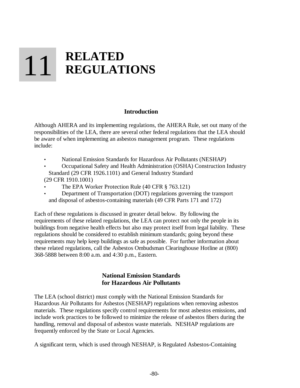# 11 **RELATED REGULATIONS**

#### **Introduction**

Although AHERA and its implementing regulations, the AHERA Rule, set out many of the responsibilities of the LEA, there are several other federal regulations that the LEA should be aware of when implementing an asbestos management program. These regulations include:

- National Emission Standards for Hazardous Air Pollutants (NESHAP)
- Occupational Safety and Health Administration (OSHA) Construction Industry Standard (29 CFR 1926.1101) and General Industry Standard (29 CFR 1910.1001)
- The EPA Worker Protection Rule (40 CFR § 763.121)
- Department of Transportation (DOT) regulations governing the transport and disposal of asbestos-containing materials (49 CFR Parts 171 and 172)

Each of these regulations is discussed in greater detail below. By following the requirements of these related regulations, the LEA can protect not only the people in its buildings from negative health effects but also may protect itself from legal liability. These regulations should be considered to establish minimum standards; going beyond these requirements may help keep buildings as safe as possible. For further information about these related regulations, call the Asbestos Ombudsman Clearinghouse Hotline at (800) 368-5888 between 8:00 a.m. and 4:30 p.m., Eastern.

# **National Emission Standards for Hazardous Air Pollutants**

The LEA (school district) must comply with the National Emission Standards for Hazardous Air Pollutants for Asbestos (NESHAP) regulations when removing asbestos materials. These regulations specify control requirements for most asbestos emissions, and include work practices to be followed to minimize the release of asbestos fibers during the handling, removal and disposal of asbestos waste materials. NESHAP regulations are frequently enforced by the State or Local Agencies.

A significant term, which is used through NESHAP, is Regulated Asbestos-Containing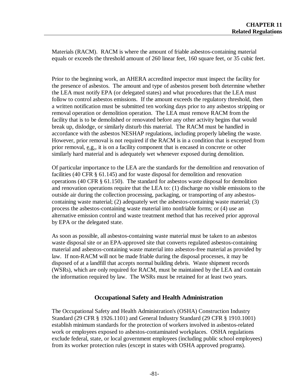Materials (RACM). RACM is where the amount of friable asbestos-containing material equals or exceeds the threshold amount of 260 linear feet, 160 square feet, or 35 cubic feet.

Prior to the beginning work, an AHERA accredited inspector must inspect the facility for the presence of asbestos. The amount and type of asbestos present both determine whether the LEA must notify EPA (or delegated states) and what procedures that the LEA must follow to control asbestos emissions. If the amount exceeds the regulatory threshold, then a written notification must be submitted ten working days prior to any asbestos stripping or removal operation or demolition operation. The LEA must remove RACM from the facility that is to be demolished or renovated before any other activity begins that would break up, dislodge, or similarly disturb this material. The RACM must be handled in accordance with the asbestos NESHAP regulations, including properly labeling the waste. However, prior removal is not required if the RACM is in a condition that is excepted from prior removal, e.g., it is on a facility component that is encased in concrete or other similarly hard material and is adequately wet whenever exposed during demolition.

Of particular importance to the LEA are the standards for the demolition and renovation of facilities (40 CFR § 61.145) and for waste disposal for demolition and renovation operations (40 CFR § 61.150). The standard for asbestos waste disposal for demolition and renovation operations require that the LEA to: (1) discharge no visible emissions to the outside air during the collection processing, packaging, or transporting of any asbestoscontaining waste material; (2) adequately wet the asbestos-containing waste material; (3) process the asbestos-containing waste material into nonfriable forms; or (4) use an alternative emission control and waste treatment method that has received prior approval by EPA or the delegated state.

As soon as possible, all asbestos-containing waste material must be taken to an asbestos waste disposal site or an EPA-approved site that converts regulated asbestos-containing material and asbestos-containing waste material into asbestos-free material as provided by law. If non-RACM will not be made friable during the disposal processes, it may be disposed of at a landfill that accepts normal building debris. Waste shipment records (WSRs), which are only required for RACM, must be maintained by the LEA and contain the information required by law. The WSRs must be retained for at least two years.

#### **Occupational Safety and Health Administration**

The Occupational Safety and Health Administration's (OSHA) Construction Industry Standard (29 CFR § 1926.1101) and General Industry Standard (29 CFR § 1910.1001) establish minimum standards for the protection of workers involved in asbestos-related work or employees exposed to asbestos-contaminated workplaces. OSHA regulations exclude federal, state, or local government employees (including public school employees) from its worker protection rules (except in states with OSHA approved programs).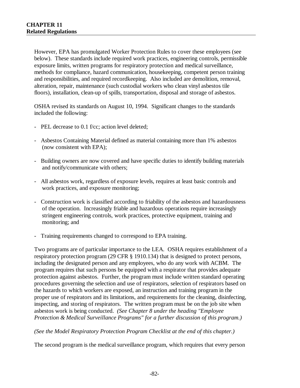However, EPA has promulgated Worker Protection Rules to cover these employees (see below). These standards include required work practices, engineering controls, permissible exposure limits, written programs for respiratory protection and medical surveillance, methods for compliance, hazard communication, housekeeping, competent person training and responsibilities, and required recordkeeping. Also included are demolition, removal, alteration, repair, maintenance (such custodial workers who clean vinyl asbestos tile floors), installation, clean-up of spills, transportation, disposal and storage of asbestos.

OSHA revised its standards on August 10, 1994. Significant changes to the standards included the following:

- PEL decrease to 0.1 f/cc; action level deleted;
- Asbestos Containing Material defined as material containing more than 1% asbestos (now consistent with EPA);
- Building owners are now covered and have specific duties to identify building materials and notify/communicate with others;
- All asbestos work, regardless of exposure levels, requires at least basic controls and work practices, and exposure monitoring;
- Construction work is classified according to friability of the asbestos and hazardousness of the operation. Increasingly friable and hazardous operations require increasingly stringent engineering controls, work practices, protective equipment, training and monitoring; and
- Training requirements changed to correspond to EPA training.

Two programs are of particular importance to the LEA. OSHA requires establishment of a respiratory protection program (29 CFR § 1910.134) that is designed to protect persons, including the designated person and any employees, who do any work with ACBM. The program requires that such persons be equipped with a respirator that provides adequate protection against asbestos. Further, the program must include written standard operating procedures governing the selection and use of respirators, selection of respirators based on the hazards to which workers are exposed, an instruction and training program in the proper use of respirators and its limitations, and requirements for the cleaning, disinfecting, inspecting, and storing of respirators. The written program must be on the job site when asbestos work is being conducted. *(See Chapter 8 under the heading "Employee Protection & Medical Surveillance Programs" for a further discussion of this program.)* 

*(See the Model Respiratory Protection Program Checklist at the end of this chapter.)* 

The second program is the medical surveillance program, which requires that every person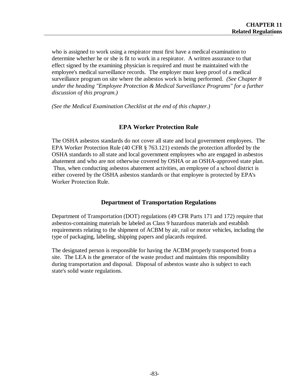who is assigned to work using a respirator must first have a medical examination to determine whether he or she is fit to work in a respirator. A written assurance to that effect signed by the examining physician is required and must be maintained with the employee's medical surveillance records. The employer must keep proof of a medical surveillance program on site where the asbestos work is being performed. *(See Chapter 8 under the heading "Employee Protection & Medical Surveillance Programs" for a further discussion of this program.)* 

*(See the Medical Examination Checklist at the end of this chapter.)* 

#### **EPA Worker Protection Rule**

The OSHA asbestos standards do not cover all state and local government employees. The EPA Worker Protection Rule (40 CFR § 763.121) extends the protection afforded by the OSHA standards to all state and local government employees who are engaged in asbestos abatement and who are not otherwise covered by OSHA or an OSHA-approved state plan. Thus, when conducting asbestos abatement activities, an employee of a school district is either covered by the OSHA asbestos standards or that employee is protected by EPA's Worker Protection Rule.

#### **Department of Transportation Regulations**

Department of Transportation (DOT) regulations (49 CFR Parts 171 and 172) require that asbestos-containing materials be labeled as Class 9 hazardous materials and establish requirements relating to the shipment of ACBM by air, rail or motor vehicles, including the type of packaging, labeling, shipping papers and placards required.

The designated person is responsible for having the ACBM properly transported from a site. The LEA is the generator of the waste product and maintains this responsibility during transportation and disposal. Disposal of asbestos waste also is subject to each state's solid waste regulations.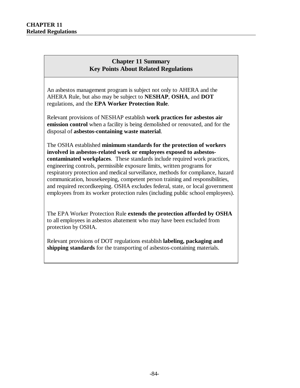# **Chapter 11 Summary Key Points About Related Regulations**

An asbestos management program is subject not only to AHERA and the AHERA Rule, but also may be subject to **NESHAP**, **OSHA**, and **DOT**  regulations, and the **EPA Worker Protection Rule**.

Relevant provisions of NESHAP establish **work practices for asbestos air emission control** when a facility is being demolished or renovated, and for the disposal of **asbestos-containing waste material**.

The OSHA established **minimum standards for the protection of workers involved in asbestos-related work or employees exposed to asbestoscontaminated workplaces**. These standards include required work practices, engineering controls, permissible exposure limits, written programs for respiratory protection and medical surveillance, methods for compliance, hazard communication, housekeeping, competent person training and responsibilities, and required recordkeeping. OSHA excludes federal, state, or local government employees from its worker protection rules (including public school employees).

The EPA Worker Protection Rule **extends the protection afforded by OSHA**  to all employees in asbestos abatement who may have been excluded from protection by OSHA.

Relevant provisions of DOT regulations establish **labeling, packaging and shipping standards** for the transporting of asbestos-containing materials.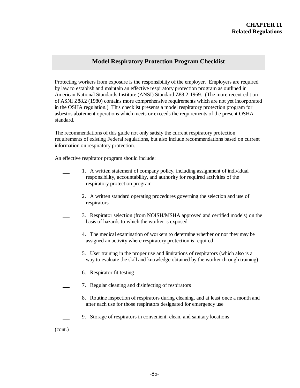# **Model Respiratory Protection Program Checklist**

Protecting workers from exposure is the responsibility of the employer. Employers are required by law to establish and maintain an effective respiratory protection program as outlined in American National Standards Institute (ANSI) Standard Z88.2-1969. (The more recent edition of ASNI Z88.2 (1980) contains more comprehensive requirements which are not yet incorporated in the OSHA regulation.) This checklist presents a model respiratory protection program for asbestos abatement operations which meets or exceeds the requirements of the present OSHA standard.

The recommendations of this guide not only satisfy the current respiratory protection requirements of existing Federal regulations, but also include recommendations based on current information on respiratory protection.

An effective respirator program should include:

- 1. A written statement of company policy, including assignment of individual responsibility, accountability, and authority for required activities of the respiratory protection program
- 2. A written standard operating procedures governing the selection and use of respirators
- 3. Respirator selection (from NOISH/MSHA approved and certified models) on the basis of hazards to which the worker is exposed
- 4. The medical examination of workers to determine whether or not they may be assigned an activity where respiratory protection is required
	- 5. User training in the proper use and limitations of respirators (which also is a way to evaluate the skill and knowledge obtained by the worker through training)
	- 6. Respirator fit testing
- 7. Regular cleaning and disinfecting of respirators
	- 8. Routine inspection of respirators during cleaning, and at least once a month and after each use for those respirators designated for emergency use
		- 9. Storage of respirators in convenient, clean, and sanitary locations

(cont.)

 $\overline{a}$ 

 $\overline{a}$ 

 $\overline{a}$ 

 $\overline{a}$ 

 $\overline{a}$ 

 $\overline{a}$ 

 $\overline{a}$ 

 $\overline{a}$ 

 $\overline{a}$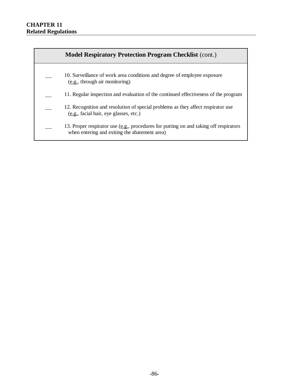| <b>Model Respiratory Protection Program Checklist (cont.)</b>                                                                                          |
|--------------------------------------------------------------------------------------------------------------------------------------------------------|
| 10. Surveillance of work area conditions and degree of employee exposure<br>(e.g., through air monitoring)                                             |
| 11. Regular inspection and evaluation of the continued effectiveness of the program                                                                    |
| 12. Recognition and resolution of special problems as they affect respirator use<br>(e.g., facial hair, eye glasses, etc.)                             |
| 13. Proper respirator use $(\underline{e.g.})$ , procedures for putting on and taking off respirators<br>when entering and exiting the abatement area) |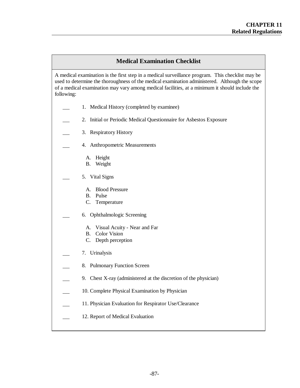## **Medical Examination Checklist**

A medical examination is the first step in a medical surveillance program. This checklist may be used to determine the thoroughness of the medical examination administered. Although the scope of a medical examination may vary among medical facilities, at a minimum it should include the following:

- 1. Medical History (completed by examinee)
- 2. Initial or Periodic Medical Questionnaire for Asbestos Exposure
- $\overline{a}$ 3. Respiratory History

 $\overline{a}$ 

 $\overline{a}$ 

 $\overline{a}$ 

 $\overline{a}$ 

 $\overline{a}$ 

- $\overline{a}$ 4. Anthropometric Measurements
	- A. Height
	- B. Weight
	- 5. Vital Signs
		- A. Blood Pressure
		- B. Pulse
		- C. Temperature
- $\overline{a}$ 6. Ophthalmologic Screening
	- A. Visual Acuity Near and Far
	- B. Color Vision
	- C. Depth perception
	- 7. Urinalysis
- $\overline{a}$ 8. Pulmonary Function Screen
- $\overline{a}$ 9. Chest X-ray (administered at the discretion of the physician)
- $\overline{a}$ 10. Complete Physical Examination by Physician
- $\overline{a}$ 11. Physician Evaluation for Respirator Use/Clearance
	- 12. Report of Medical Evaluation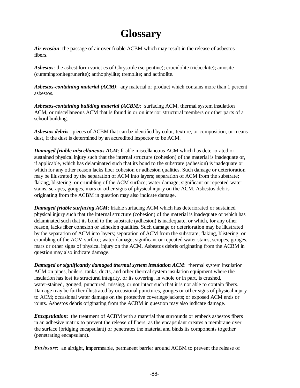# **Glossary**

*Air erosion*: the passage of air over friable ACBM which may result in the release of asbestos fibers.

*Asbestos*: the asbestiform varieties of Chrysotile (serpentine); crocidolite (riebeckite); amosite (cummingtonitegrunerite); anthophyllite; tremolite; and actinolite.

*Asbestos-containing material (ACM)*: any material or product which contains more than 1 percent asbestos.

*Asbestos-containing building material (ACBM)*: surfacing ACM, thermal system insulation ACM, or miscellaneous ACM that is found in or on interior structural members or other parts of a school building.

*Asbestos debris*: pieces of ACBM that can be identified by color, texture, or composition, or means dust, if the dust is determined by an accredited inspector to be ACM.

*Damaged friable miscellaneous ACM*: friable miscellaneous ACM which has deteriorated or sustained physical injury such that the internal structure (cohesion) of the material is inadequate or, if applicable, which has delaminated such that its bond to the substrate (adhesion) is inadequate or which for any other reason lacks fiber cohesion or adhesion qualities. Such damage or deterioration may be illustrated by the separation of ACM into layers; separation of ACM from the substrate; flaking, blistering, or crumbling of the ACM surface; water damage; significant or repeated water stains, scrapes, gouges, mars or other signs of physical injury on the ACM. Asbestos debris originating from the ACBM in question may also indicate damage.

*Damaged friable surfacing ACM*: friable surfacing ACM which has deteriorated or sustained physical injury such that the internal structure (cohesion) of the material is inadequate or which has delaminated such that its bond to the substrate (adhesion) is inadequate, or which, for any other reason, lacks fiber cohesion or adhesion qualities. Such damage or deterioration may be illustrated by the separation of ACM into layers; separation of ACM from the substrate; flaking, blistering, or crumbling of the ACM surface; water damage; significant or repeated water stains, scrapes, gouges, mars or other signs of physical injury on the ACM. Asbestos debris originating from the ACBM in question may also indicate damage.

*Damaged or significantly damaged thermal system insulation ACM*: thermal system insulation ACM on pipes, boilers, tanks, ducts, and other thermal system insulation equipment where the insulation has lost its structural integrity, or its covering, in whole or in part, is crushed, water-stained, gouged, punctured, missing, or not intact such that it is not able to contain fibers. Damage may be further illustrated by occasional punctures, gouges or other signs of physical injury to ACM; occasional water damage on the protective coverings/jackets; or exposed ACM ends or joints. Asbestos debris originating from the ACBM in question may also indicate damage.

*Encapsulation*: the treatment of ACBM with a material that surrounds or embeds asbestos fibers in an adhesive matrix to prevent the release of fibers, as the encapsulant creates a membrane over the surface (bridging encapsulant) or penetrates the material and binds its components together (penetrating encapsulant).

*Enclosure*: an airtight, impermeable, permanent barrier around ACBM to prevent the release of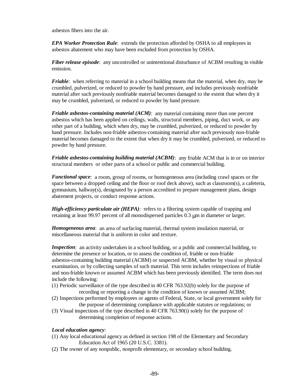asbestos fibers into the air.

*EPA Worker Protection Rule*: extends the protection afforded by OSHA to all employees in asbestos abatement who may have been excluded from protection by OSHA.

*Fiber release episode*: any uncontrolled or unintentional disturbance of ACBM resulting in visible emission.

*Friable*: when referring to material in a school building means that the material, when dry, may be crumbled, pulverized, or reduced to powder by hand pressure, and includes previously nonfriable material after such previously nonfriable material becomes damaged to the extent that when dry it may be crumbled, pulverized, or reduced to powder by hand pressure.

*Friable asbestos-containing material (ACM)*: any material containing more than one percent asbestos which has been applied on ceilings, walls, structural members, piping, duct work, or any other part of a building, which when dry, may be crumbled, pulverized, or reduced to powder by hand pressure. Includes non-friable asbestos-containing material after such previously non-friable material becomes damaged to the extent that when dry it may be crumbled, pulverized, or reduced to powder by hand pressure.

*Friable asbestos-containing building material (ACBM)*: any friable ACM that is in or on interior structural members or other parts of a school or public and commercial building.

*Functional space*: a room, group of rooms, or homogeneous area (including crawl spaces or the space between a dropped ceiling and the floor or roof deck above), such as classroom(s), a cafeteria, gymnasium, hallway(s), designated by a person accredited to prepare management plans, design abatement projects, or conduct response actions.

*High-efficiency particulate air (HEPA)*: refers to a filtering system capable of trapping and retaining at least 99.97 percent of all monodispersed particles  $0.3 \mu m$  in diameter or larger.

*Homogeneous area*: an area of surfacing material, thermal system insulation material, or miscellaneous material that is uniform in color and texture.

*Inspection*: an activity undertaken in a school building, or a public and commercial building, to determine the presence or location, or to assess the condition of, friable or non-friable asbestos-containing building material (ACBM) or suspected ACBM, whether by visual or physical examination, or by collecting samples of such material. This term includes reinspections of friable and non-friable known or assumed ACBM which has been previously identified. The term does not include the following:

- (1) Periodic surveillance of the type described in 40 CFR 763.92(b) solely for the purpose of recording or reporting a change in the condition of known or assumed ACBM;
- (2) Inspections performed by employees or agents of Federal, State, or local government solely for the purpose of determining compliance with applicable statutes or regulations; or
- (3) Visual inspections of the type described in 40 CFR 763.90(i) solely for the purpose of determining completion of response actions.

#### *Local education agency*:

- (1) Any local educational agency as defined in section 198 of the Elementary and Secondary Education Act of 1965 (20 U.S.C. 3381).
- (2) The owner of any nonpublic, nonprofit elementary, or secondary school building.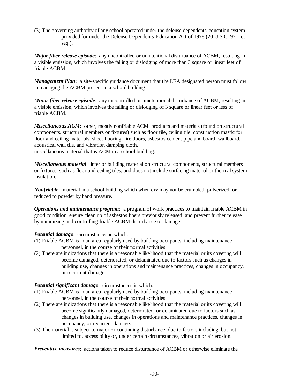(3) The governing authority of any school operated under the defense dependents' education system provided for under the Defense Dependents' Education Act of 1978 (20 U.S.C. 921, et seq.).

*Major fiber release episode*: any uncontrolled or unintentional disturbance of ACBM, resulting in a visible emission, which involves the falling or dislodging of more than 3 square or linear feet of friable ACBM.

*Management Plan***:** a site-specific guidance document that the LEA designated person must follow in managing the ACBM present in a school building.

*Minor fiber release episode*: any uncontrolled or unintentional disturbance of ACBM, resulting in a visible emission, which involves the falling or dislodging of 3 square or linear feet or less of friable ACBM.

*Miscellaneous ACM*: other, mostly nonfriable ACM, products and materials (found on structural components, structural members or fixtures) such as floor tile, ceiling tile, construction mastic for floor and ceiling materials, sheet flooring, fire doors, asbestos cement pipe and board, wallboard, acoustical wall tile, and vibration damping cloth.

miscellaneous material that is ACM in a school building.

*Miscellaneous material*: interior building material on structural components, structural members or fixtures, such as floor and ceiling tiles, and does not include surfacing material or thermal system insulation.

*Nonfriable*: material in a school building which when dry may not be crumbled, pulverized, or reduced to powder by hand pressure.

*Operations and maintenance program*: a program of work practices to maintain friable ACBM in good condition, ensure clean up of asbestos fibers previously released, and prevent further release by minimizing and controlling friable ACBM disturbance or damage.

#### *Potential damage*: circumstances in which:

- (1) Friable ACBM is in an area regularly used by building occupants, including maintenance personnel, in the course of their normal activities.
- (2) There are indications that there is a reasonable likelihood that the material or its covering will become damaged, deteriorated, or delaminated due to factors such as changes in building use, changes in operations and maintenance practices, changes in occupancy, or recurrent damage.

#### *Potential significant damage*: circumstances in which:

- (1) Friable ACBM is in an area regularly used by building occupants, including maintenance personnel, in the course of their normal activities.
- (2) There are indications that there is a reasonable likelihood that the material or its covering will become significantly damaged, deteriorated, or delaminated due to factors such as changes in building use, changes in operations and maintenance practices, changes in occupancy, or recurrent damage.
- (3) The material is subject to major or continuing disturbance, due to factors including, but not limited to, accessibility or, under certain circumstances, vibration or air erosion.

*Preventive measures*: actions taken to reduce disturbance of ACBM or otherwise eliminate the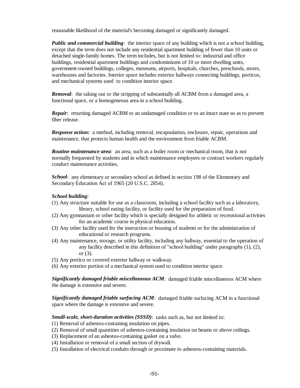reasonable likelihood of the material's becoming damaged or significantly damaged.

*Public and commercial building*: the interior space of any building which is not a school building, except that the term does not include any residential apartment building of fewer than 10 units or detached single-family homes. The term includes, but is not limited to: industrial and office buildings, residential apartment buildings and condominiums of 10 or more dwelling units, government-owned buildings, colleges, museums, airports, hospitals, churches, preschools, stores, warehouses and factories. Interior space includes exterior hallways connecting buildings, porticos, and mechanical systems used to condition interior space.

*Removal*: the taking out or the stripping of substantially all ACBM from a damaged area, a functional space, or a homogeneous area in a school building.

**Repair:** returning damaged ACBM to an undamaged condition or to an intact state so as to prevent fiber release.

*Response action:* a method, including removal, encapsulation, enclosure, repair, operations and maintenance, that protects human health and the environment from friable ACBM.

*Routine maintenance area*: an area, such as a boiler room or mechanical room, that is not normally frequented by students and in which maintenance employees or contract workers regularly conduct maintenance activities.

*School*: any elementary or secondary school as defined in section 198 of the Elementary and Secondary Education Act of 1965 (20 U.S.C. 2854).

#### *School building*:

- (1) Any structure suitable for use as a classroom, including a school facility such as a laboratory, library, school eating facility, or facility used for the preparation of food.
- (2) Any gymnasium or other facility which is specially designed for athletic or recreational activities for an academic course in physical education.
- (3) Any other facility used for the instruction or housing of students or for the administration of educational or research programs.
- (4) Any maintenance, storage, or utility facility, including any hallway, essential to the operation of any facility described in this definition of "school building" under paragraphs (1), (2), or (3).
- (5) Any portico or covered exterior hallway or walkway.
- (6) Any exterior portion of a mechanical system used to condition interior space.

*Significantly damaged friable miscellaneous ACM*: damaged friable miscellaneous ACM where the damage is extensive and severe.

*Significantly damaged friable surfacing ACM*: damaged friable surfacing ACM in a functional space where the damage is extensive and severe.

#### *Small-scale, short-duration activities (SSSD)*: tasks such as, but not limited to:

- (1) Removal of asbestos-containing insulation on pipes.
- (2) Removal of small quantities of asbestos-containing insulation on beams or above ceilings.
- (3) Replacement of an asbestos-containing gasket on a valve.
- (4) Installation or removal of a small section of drywall.
- (5) Installation of electrical conduits through or proximate to asbestos-containing materials.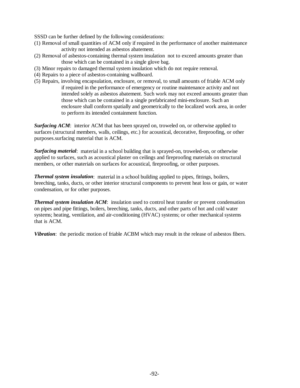SSSD can be further defined by the following considerations:

- (1) Removal of small quantities of ACM only if required in the performance of another maintenance activity not intended as asbestos abatement.
- (2) Removal of asbestos-containing thermal system insulation not to exceed amounts greater than those which can be contained in a single glove bag.
- (3) Minor repairs to damaged thermal system insulation which do not require removal.
- (4) Repairs to a piece of asbestos-containing wallboard.
- (5) Repairs, involving encapsulation, enclosure, or removal, to small amounts of friable ACM only if required in the performance of emergency or routine maintenance activity and not intended solely as asbestos abatement. Such work may not exceed amounts greater than those which can be contained in a single prefabricated mini-enclosure. Such an enclosure shall conform spatially and geometrically to the localized work area, in order to perform its intended containment function.

**Surfacing ACM**: interior ACM that has been sprayed on, troweled on, or otherwise applied to surfaces (structural members, walls, ceilings, etc.) for acoustical, decorative, fireproofing, or other purposes.surfacing material that is ACM.

*Surfacing material*: material in a school building that is sprayed-on, troweled-on, or otherwise applied to surfaces, such as acoustical plaster on ceilings and fireproofing materials on structural members, or other materials on surfaces for acoustical, fireproofing, or other purposes.

*Thermal system insulation*: material in a school building applied to pipes, fittings, boilers, breeching, tanks, ducts, or other interior structural components to prevent heat loss or gain, or water condensation, or for other purposes.

*Thermal system insulation ACM*: insulation used to control heat transfer or prevent condensation on pipes and pipe fittings, boilers, breeching, tanks, ducts, and other parts of hot and cold water systems; heating, ventilation, and air-conditioning (HVAC) systems; or other mechanical systems that is ACM.

*Vibration*: the periodic motion of friable ACBM which may result in the release of asbestos fibers.